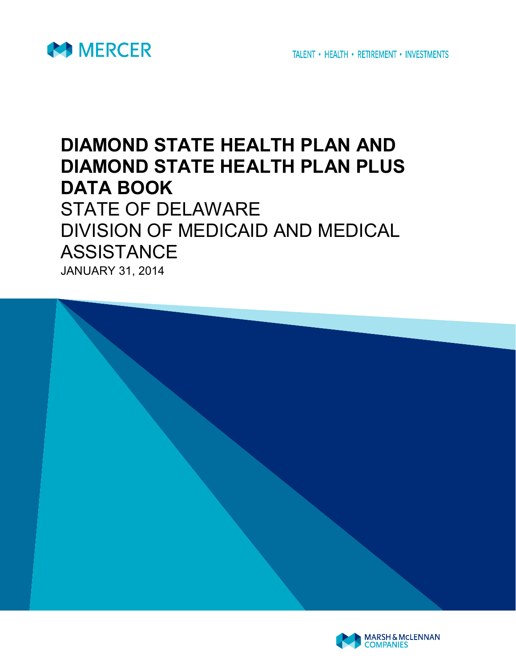

TALENT • HEALTH • RETIREMENT • INVESTMENTS

## **DIAMOND STATE HEALTH PLAN AND DIAMOND STATE HEALTH PLAN PLUS DATA BOOK** STATE OF DELAWARE DIVISION OF MEDICAID AND MEDICAL ASSISTANCE

JANUARY 31, 2014



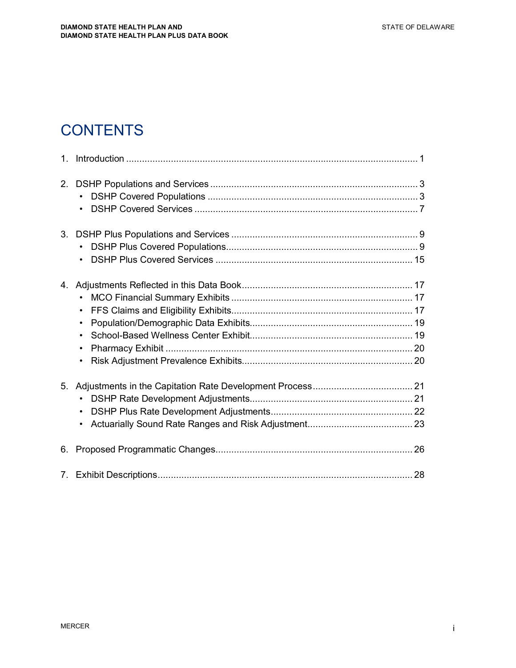## **CONTENTS**

| 2. | $\bullet$<br>$\bullet$                                                     |  |
|----|----------------------------------------------------------------------------|--|
|    |                                                                            |  |
| 4. | $\bullet$<br>$\bullet$<br>$\bullet$<br>$\bullet$<br>$\bullet$<br>$\bullet$ |  |
| 5. | $\bullet$<br>$\bullet$<br>$\bullet$                                        |  |
| 6. |                                                                            |  |
|    |                                                                            |  |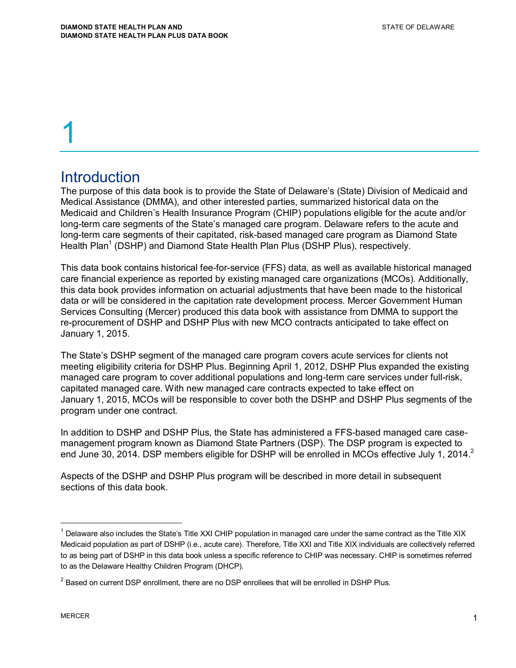### **Introduction**

The purpose of this data book is to provide the State of Delaware's (State) Division of Medicaid and Medical Assistance (DMMA), and other interested parties, summarized historical data on the Medicaid and Children's Health Insurance Program (CHIP) populations eligible for the acute and/or long-term care segments of the State's managed care program. Delaware refers to the acute and long-term care segments of their capitated, risk-based managed care program as Diamond State Health Plan<sup>1</sup> (DSHP) and Diamond State Health Plan Plus (DSHP Plus), respectively.

This data book contains historical fee-for-service (FFS) data, as well as available historical managed care financial experience as reported by existing managed care organizations (MCOs). Additionally, this data book provides information on actuarial adjustments that have been made to the historical data or will be considered in the capitation rate development process. Mercer Government Human Services Consulting (Mercer) produced this data book with assistance from DMMA to support the re-procurement of DSHP and DSHP Plus with new MCO contracts anticipated to take effect on January 1, 2015.

The State's DSHP segment of the managed care program covers acute services for clients not meeting eligibility criteria for DSHP Plus. Beginning April 1, 2012, DSHP Plus expanded the existing managed care program to cover additional populations and long-term care services under full-risk, capitated managed care. With new managed care contracts expected to take effect on January 1, 2015, MCOs will be responsible to cover both the DSHP and DSHP Plus segments of the program under one contract.

In addition to DSHP and DSHP Plus, the State has administered a FFS-based managed care casemanagement program known as Diamond State Partners (DSP). The DSP program is expected to end June 30, 2014. DSP members eligible for DSHP will be enrolled in MCOs effective July 1, 2014.<sup>2</sup>

Aspects of the DSHP and DSHP Plus program will be described in more detail in subsequent sections of this data book.

<sup>&</sup>lt;sup>1</sup> Delaware also includes the State's Title XXI CHIP population in managed care under the same contract as the Title XIX Medicaid population as part of DSHP (i.e., acute care). Therefore, Title XXI and Title XIX individuals are collectively referred to as being part of DSHP in this data book unless a specific reference to CHIP was necessary. CHIP is sometimes referred to as the Delaware Healthy Children Program (DHCP).

 $2$  Based on current DSP enrollment, there are no DSP enrollees that will be enrolled in DSHP Plus.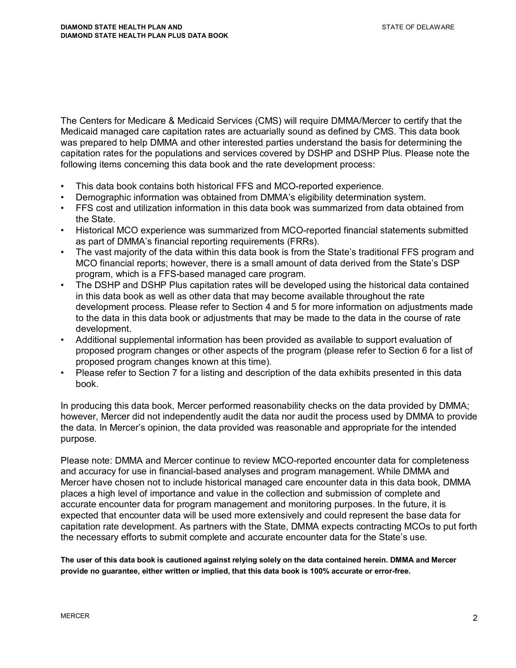The Centers for Medicare & Medicaid Services (CMS) will require DMMA/Mercer to certify that the Medicaid managed care capitation rates are actuarially sound as defined by CMS. This data book was prepared to help DMMA and other interested parties understand the basis for determining the capitation rates for the populations and services covered by DSHP and DSHP Plus. Please note the following items concerning this data book and the rate development process:

- This data book contains both historical FFS and MCO-reported experience.
- Demographic information was obtained from DMMA's eligibility determination system.
- FFS cost and utilization information in this data book was summarized from data obtained from the State.
- Historical MCO experience was summarized from MCO-reported financial statements submitted as part of DMMA's financial reporting requirements (FRRs).
- The vast majority of the data within this data book is from the State's traditional FFS program and MCO financial reports; however, there is a small amount of data derived from the State's DSP program, which is a FFS-based managed care program.
- The DSHP and DSHP Plus capitation rates will be developed using the historical data contained in this data book as well as other data that may become available throughout the rate development process. Please refer to Section 4 and 5 for more information on adjustments made to the data in this data book or adjustments that may be made to the data in the course of rate development.
- Additional supplemental information has been provided as available to support evaluation of proposed program changes or other aspects of the program (please refer to Section 6 for a list of proposed program changes known at this time).
- Please refer to Section 7 for a listing and description of the data exhibits presented in this data book.

In producing this data book, Mercer performed reasonability checks on the data provided by DMMA; however, Mercer did not independently audit the data nor audit the process used by DMMA to provide the data. In Mercer's opinion, the data provided was reasonable and appropriate for the intended purpose.

Please note: DMMA and Mercer continue to review MCO-reported encounter data for completeness and accuracy for use in financial-based analyses and program management. While DMMA and Mercer have chosen not to include historical managed care encounter data in this data book, DMMA places a high level of importance and value in the collection and submission of complete and accurate encounter data for program management and monitoring purposes. In the future, it is expected that encounter data will be used more extensively and could represent the base data for capitation rate development. As partners with the State, DMMA expects contracting MCOs to put forth the necessary efforts to submit complete and accurate encounter data for the State's use.

**The user of this data book is cautioned against relying solely on the data contained herein. DMMA and Mercer provide no guarantee, either written or implied, that this data book is 100% accurate or error-free.**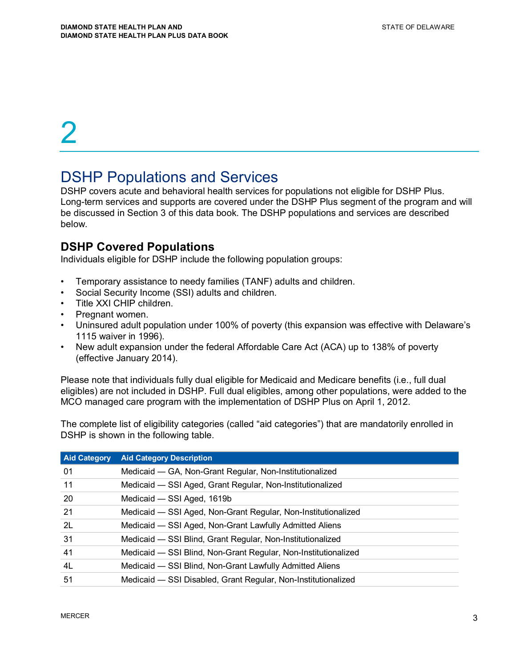## DSHP Populations and Services

DSHP covers acute and behavioral health services for populations not eligible for DSHP Plus. Long-term services and supports are covered under the DSHP Plus segment of the program and will be discussed in Section 3 of this data book. The DSHP populations and services are described below.

#### **DSHP Covered Populations**

Individuals eligible for DSHP include the following population groups:

- Temporary assistance to needy families (TANF) adults and children.
- Social Security Income (SSI) adults and children.
- Title XXI CHIP children.
- Pregnant women.
- Uninsured adult population under 100% of poverty (this expansion was effective with Delaware's 1115 waiver in 1996).
- New adult expansion under the federal Affordable Care Act (ACA) up to 138% of poverty (effective January 2014).

Please note that individuals fully dual eligible for Medicaid and Medicare benefits (i.e., full dual eligibles) are not included in DSHP. Full dual eligibles, among other populations, were added to the MCO managed care program with the implementation of DSHP Plus on April 1, 2012.

The complete list of eligibility categories (called "aid categories") that are mandatorily enrolled in DSHP is shown in the following table.

| <b>Aid Category</b> | <b>Aid Category Description</b>                                |
|---------------------|----------------------------------------------------------------|
| 01                  | Medicaid - GA, Non-Grant Regular, Non-Institutionalized        |
| 11                  | Medicaid - SSI Aged, Grant Regular, Non-Institutionalized      |
| 20                  | Medicaid - SSI Aged, 1619b                                     |
| 21                  | Medicaid - SSI Aged, Non-Grant Regular, Non-Institutionalized  |
| 2L                  | Medicaid - SSI Aged, Non-Grant Lawfully Admitted Aliens        |
| 31                  | Medicaid - SSI Blind, Grant Regular, Non-Institutionalized     |
| 41                  | Medicaid - SSI Blind, Non-Grant Regular, Non-Institutionalized |
| 4L                  | Medicaid - SSI Blind, Non-Grant Lawfully Admitted Aliens       |
| 51                  | Medicaid - SSI Disabled, Grant Regular, Non-Institutionalized  |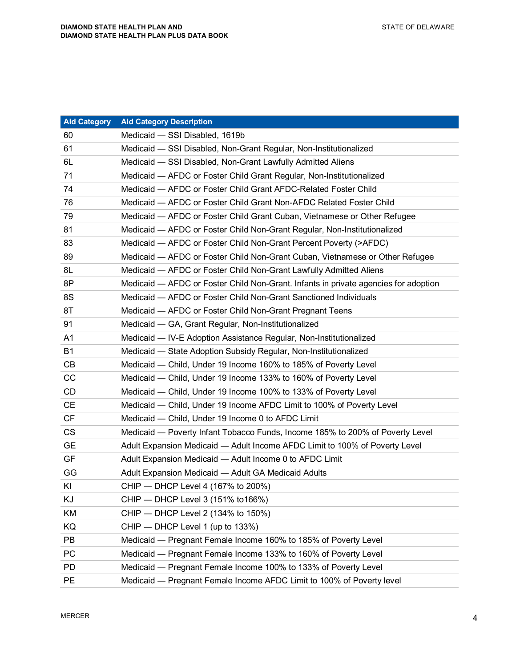| <b>Aid Category</b> | <b>Aid Category Description</b>                                                     |
|---------------------|-------------------------------------------------------------------------------------|
| 60                  | Medicaid - SSI Disabled, 1619b                                                      |
| 61                  | Medicaid - SSI Disabled, Non-Grant Regular, Non-Institutionalized                   |
| 6L                  | Medicaid - SSI Disabled, Non-Grant Lawfully Admitted Aliens                         |
| 71                  | Medicaid - AFDC or Foster Child Grant Regular, Non-Institutionalized                |
| 74                  | Medicaid - AFDC or Foster Child Grant AFDC-Related Foster Child                     |
| 76                  | Medicaid - AFDC or Foster Child Grant Non-AFDC Related Foster Child                 |
| 79                  | Medicaid — AFDC or Foster Child Grant Cuban, Vietnamese or Other Refugee            |
| 81                  | Medicaid - AFDC or Foster Child Non-Grant Regular, Non-Institutionalized            |
| 83                  | Medicaid - AFDC or Foster Child Non-Grant Percent Poverty (>AFDC)                   |
| 89                  | Medicaid — AFDC or Foster Child Non-Grant Cuban, Vietnamese or Other Refugee        |
| 8L                  | Medicaid - AFDC or Foster Child Non-Grant Lawfully Admitted Aliens                  |
| 8P                  | Medicaid — AFDC or Foster Child Non-Grant. Infants in private agencies for adoption |
| 8S                  | Medicaid - AFDC or Foster Child Non-Grant Sanctioned Individuals                    |
| 8T                  | Medicaid - AFDC or Foster Child Non-Grant Pregnant Teens                            |
| 91                  | Medicaid - GA, Grant Regular, Non-Institutionalized                                 |
| A <sub>1</sub>      | Medicaid — IV-E Adoption Assistance Regular, Non-Institutionalized                  |
| <b>B1</b>           | Medicaid - State Adoption Subsidy Regular, Non-Institutionalized                    |
| CB                  | Medicaid - Child, Under 19 Income 160% to 185% of Poverty Level                     |
| CC                  | Medicaid — Child, Under 19 Income 133% to 160% of Poverty Level                     |
| CD                  | Medicaid — Child, Under 19 Income 100% to 133% of Poverty Level                     |
| <b>CE</b>           | Medicaid — Child, Under 19 Income AFDC Limit to 100% of Poverty Level               |
| <b>CF</b>           | Medicaid - Child, Under 19 Income 0 to AFDC Limit                                   |
| <b>CS</b>           | Medicaid — Poverty Infant Tobacco Funds, Income 185% to 200% of Poverty Level       |
| <b>GE</b>           | Adult Expansion Medicaid - Adult Income AFDC Limit to 100% of Poverty Level         |
| GF                  | Adult Expansion Medicaid - Adult Income 0 to AFDC Limit                             |
| GG                  | Adult Expansion Medicaid - Adult GA Medicaid Adults                                 |
| KI                  | CHIP - DHCP Level 4 (167% to 200%)                                                  |
| ΚJ                  | CHIP - DHCP Level 3 (151% to 166%)                                                  |
| KM                  | CHIP - DHCP Level 2 (134% to 150%)                                                  |
| KQ                  | CHIP - DHCP Level 1 (up to 133%)                                                    |
| PB                  | Medicaid - Pregnant Female Income 160% to 185% of Poverty Level                     |
| PC                  | Medicaid — Pregnant Female Income 133% to 160% of Poverty Level                     |
| <b>PD</b>           | Medicaid - Pregnant Female Income 100% to 133% of Poverty Level                     |
| <b>PE</b>           | Medicaid - Pregnant Female Income AFDC Limit to 100% of Poverty level               |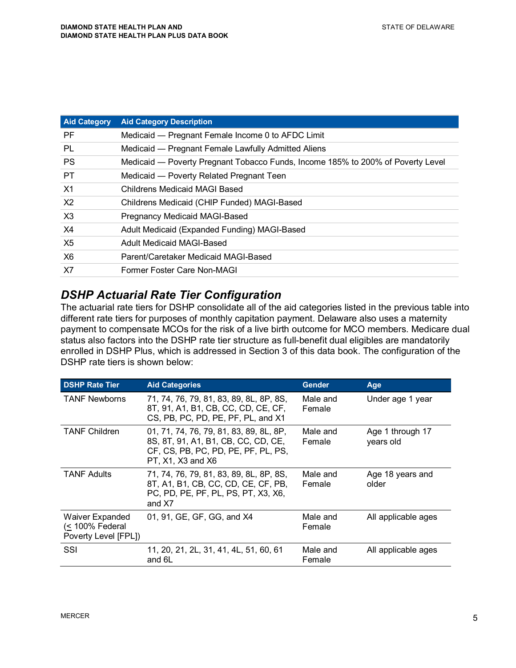| <b>Aid Category</b> | <b>Aid Category Description</b>                                                 |
|---------------------|---------------------------------------------------------------------------------|
| <b>PF</b>           | Medicaid - Pregnant Female Income 0 to AFDC Limit                               |
| PL                  | Medicaid — Pregnant Female Lawfully Admitted Aliens                             |
| <b>PS</b>           | Medicaid — Poverty Pregnant Tobacco Funds, Income 185% to 200% of Poverty Level |
| <b>PT</b>           | Medicaid - Poverty Related Pregnant Teen                                        |
| X1                  | <b>Childrens Medicaid MAGI Based</b>                                            |
| X <sub>2</sub>      | Childrens Medicaid (CHIP Funded) MAGI-Based                                     |
| X3                  | Pregnancy Medicaid MAGI-Based                                                   |
| X4                  | Adult Medicaid (Expanded Funding) MAGI-Based                                    |
| X5                  | Adult Medicaid MAGI-Based                                                       |
| <b>X6</b>           | Parent/Caretaker Medicaid MAGI-Based                                            |
| X7                  | Former Foster Care Non-MAGI                                                     |
|                     |                                                                                 |

#### *DSHP Actuarial Rate Tier Configuration*

The actuarial rate tiers for DSHP consolidate all of the aid categories listed in the previous table into different rate tiers for purposes of monthly capitation payment. Delaware also uses a maternity payment to compensate MCOs for the risk of a live birth outcome for MCO members. Medicare dual status also factors into the DSHP rate tier structure as full-benefit dual eligibles are mandatorily enrolled in DSHP Plus, which is addressed in Section 3 of this data book. The configuration of the DSHP rate tiers is shown below:

| <b>DSHP Rate Tier</b>                                             | <b>Aid Categories</b>                                                                                                                      | <b>Gender</b>      | Age                           |
|-------------------------------------------------------------------|--------------------------------------------------------------------------------------------------------------------------------------------|--------------------|-------------------------------|
| <b>TANF Newborns</b>                                              | 71, 74, 76, 79, 81, 83, 89, 8L, 8P, 8S,<br>8T, 91, A1, B1, CB, CC, CD, CE, CF,<br>CS, PB, PC, PD, PE, PF, PL, and X1                       | Male and<br>Female | Under age 1 year              |
| <b>TANF Children</b>                                              | 01, 71, 74, 76, 79, 81, 83, 89, 8L, 8P,<br>8S, 8T, 91, A1, B1, CB, CC, CD, CE,<br>CF, CS, PB, PC, PD, PE, PF, PL, PS,<br>PT, X1, X3 and X6 | Male and<br>Female | Age 1 through 17<br>years old |
| <b>TANF Adults</b>                                                | 71, 74, 76, 79, 81, 83, 89, 8L, 8P, 8S,<br>8T, A1, B1, CB, CC, CD, CE, CF, PB,<br>PC, PD, PE, PF, PL, PS, PT, X3, X6,<br>and X7            | Male and<br>Female | Age 18 years and<br>older     |
| <b>Waiver Expanded</b><br>(< 100% Federal<br>Poverty Level [FPL]) | 01, 91, GE, GF, GG, and X4                                                                                                                 | Male and<br>Female | All applicable ages           |
| SSI                                                               | 11, 20, 21, 2L, 31, 41, 4L, 51, 60, 61<br>and 6L                                                                                           | Male and<br>Female | All applicable ages           |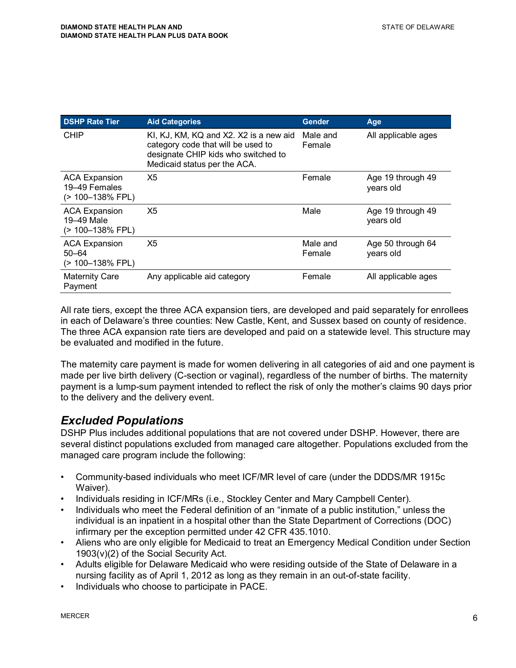| <b>DSHP Rate Tier</b>                                     | <b>Aid Categories</b>                                                                                                                               | <b>Gender</b>      | Age                            |
|-----------------------------------------------------------|-----------------------------------------------------------------------------------------------------------------------------------------------------|--------------------|--------------------------------|
| <b>CHIP</b>                                               | KI, KJ, KM, KQ and X2. X2 is a new aid<br>category code that will be used to<br>designate CHIP kids who switched to<br>Medicaid status per the ACA. | Male and<br>Female | All applicable ages            |
| <b>ACA Expansion</b><br>19-49 Females<br>(> 100-138% FPL) | X <sub>5</sub>                                                                                                                                      | Female             | Age 19 through 49<br>years old |
| <b>ACA Expansion</b><br>19-49 Male<br>(> 100-138% FPL)    | X <sub>5</sub>                                                                                                                                      | Male               | Age 19 through 49<br>years old |
| <b>ACA Expansion</b><br>$50 - 64$<br>(> 100-138% FPL)     | X <sub>5</sub>                                                                                                                                      | Male and<br>Female | Age 50 through 64<br>years old |
| <b>Maternity Care</b><br>Payment                          | Any applicable aid category                                                                                                                         | Female             | All applicable ages            |

All rate tiers, except the three ACA expansion tiers, are developed and paid separately for enrollees in each of Delaware's three counties: New Castle, Kent, and Sussex based on county of residence. The three ACA expansion rate tiers are developed and paid on a statewide level. This structure may be evaluated and modified in the future.

The maternity care payment is made for women delivering in all categories of aid and one payment is made per live birth delivery (C-section or vaginal), regardless of the number of births. The maternity payment is a lump-sum payment intended to reflect the risk of only the mother's claims 90 days prior to the delivery and the delivery event.

#### *Excluded Populations*

DSHP Plus includes additional populations that are not covered under DSHP. However, there are several distinct populations excluded from managed care altogether. Populations excluded from the managed care program include the following:

- Community-based individuals who meet ICF/MR level of care (under the DDDS/MR 1915c Waiver).
- Individuals residing in ICF/MRs (i.e., Stockley Center and Mary Campbell Center).
- Individuals who meet the Federal definition of an "inmate of a public institution," unless the individual is an inpatient in a hospital other than the State Department of Corrections (DOC) infirmary per the exception permitted under 42 CFR 435.1010.
- Aliens who are only eligible for Medicaid to treat an Emergency Medical Condition under Section 1903(v)(2) of the Social Security Act.
- Adults eligible for Delaware Medicaid who were residing outside of the State of Delaware in a nursing facility as of April 1, 2012 as long as they remain in an out-of-state facility.
- Individuals who choose to participate in PACE.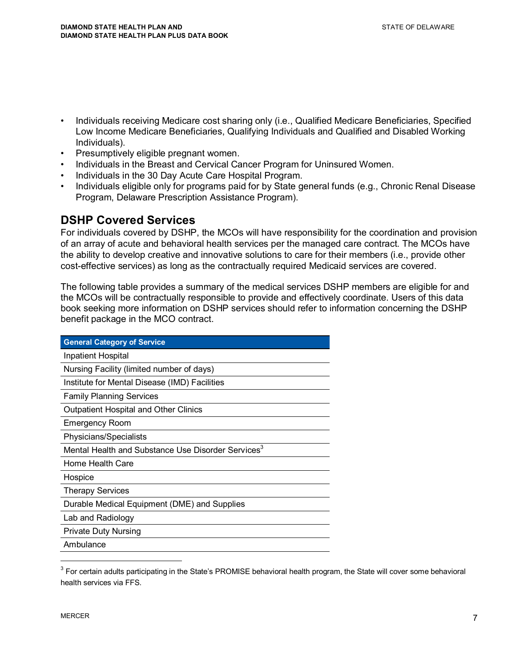- Individuals receiving Medicare cost sharing only (i.e., Qualified Medicare Beneficiaries, Specified Low Income Medicare Beneficiaries, Qualifying Individuals and Qualified and Disabled Working Individuals).
- Presumptively eligible pregnant women.
- Individuals in the Breast and Cervical Cancer Program for Uninsured Women.
- Individuals in the 30 Day Acute Care Hospital Program.
- Individuals eligible only for programs paid for by State general funds (e.g., Chronic Renal Disease Program, Delaware Prescription Assistance Program).

#### **DSHP Covered Services**

For individuals covered by DSHP, the MCOs will have responsibility for the coordination and provision of an array of acute and behavioral health services per the managed care contract. The MCOs have the ability to develop creative and innovative solutions to care for their members (i.e., provide other cost-effective services) as long as the contractually required Medicaid services are covered.

The following table provides a summary of the medical services DSHP members are eligible for and the MCOs will be contractually responsible to provide and effectively coordinate. Users of this data book seeking more information on DSHP services should refer to information concerning the DSHP benefit package in the MCO contract.

| <b>General Category of Service</b>                             |
|----------------------------------------------------------------|
| Inpatient Hospital                                             |
| Nursing Facility (limited number of days)                      |
| Institute for Mental Disease (IMD) Facilities                  |
| <b>Family Planning Services</b>                                |
| <b>Outpatient Hospital and Other Clinics</b>                   |
| <b>Emergency Room</b>                                          |
| Physicians/Specialists                                         |
| Mental Health and Substance Use Disorder Services <sup>3</sup> |
| Home Health Care                                               |
| Hospice                                                        |
| <b>Therapy Services</b>                                        |
| Durable Medical Equipment (DME) and Supplies                   |
| Lab and Radiology                                              |
| <b>Private Duty Nursing</b>                                    |
| Ambulance                                                      |

 $3$  For certain adults participating in the State's PROMISE behavioral health program, the State will cover some behavioral health services via FFS.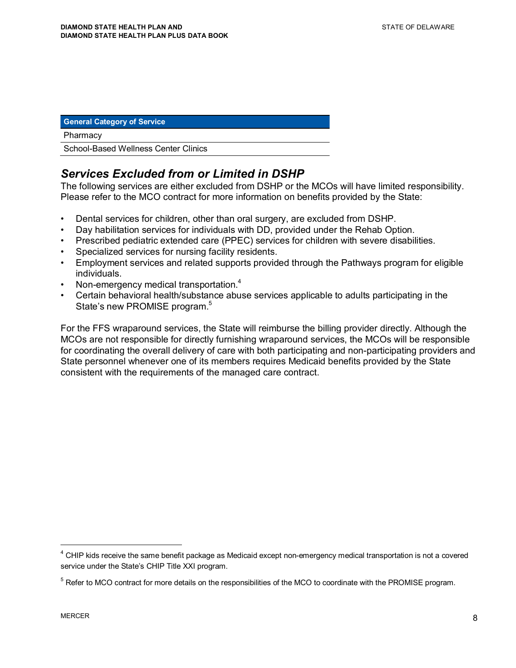#### **General Category of Service**

#### **Pharmacy**

School-Based Wellness Center Clinics

#### *Services Excluded from or Limited in DSHP*

The following services are either excluded from DSHP or the MCOs will have limited responsibility. Please refer to the MCO contract for more information on benefits provided by the State:

- Dental services for children, other than oral surgery, are excluded from DSHP.
- Day habilitation services for individuals with DD, provided under the Rehab Option.
- Prescribed pediatric extended care (PPEC) services for children with severe disabilities.
- Specialized services for nursing facility residents.
- Employment services and related supports provided through the Pathways program for eligible individuals.
- Non-emergency medical transportation.<sup>4</sup>
- Certain behavioral health/substance abuse services applicable to adults participating in the State's new PROMISE program.<sup>5</sup>

For the FFS wraparound services, the State will reimburse the billing provider directly. Although the MCOs are not responsible for directly furnishing wraparound services, the MCOs will be responsible for coordinating the overall delivery of care with both participating and non-participating providers and State personnel whenever one of its members requires Medicaid benefits provided by the State consistent with the requirements of the managed care contract.

<sup>&</sup>lt;sup>4</sup> CHIP kids receive the same benefit package as Medicaid except non-emergency medical transportation is not a covered service under the State's CHIP Title XXI program.

<sup>&</sup>lt;sup>5</sup> Refer to MCO contract for more details on the responsibilities of the MCO to coordinate with the PROMISE program.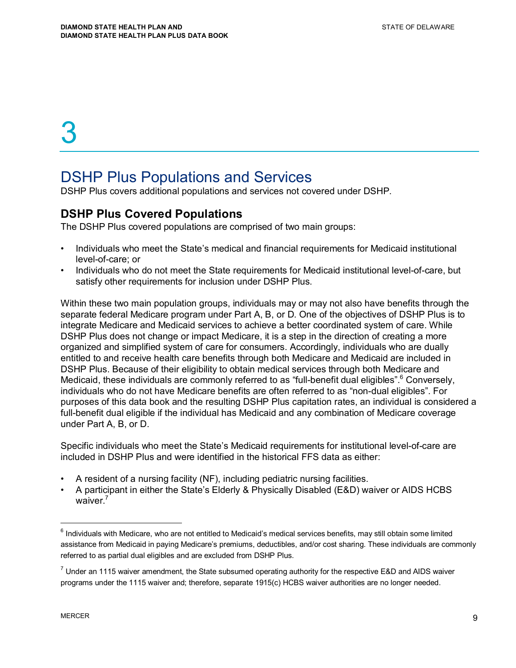## DSHP Plus Populations and Services

DSHP Plus covers additional populations and services not covered under DSHP.

#### **DSHP Plus Covered Populations**

The DSHP Plus covered populations are comprised of two main groups:

- Individuals who meet the State's medical and financial requirements for Medicaid institutional level-of-care; or
- Individuals who do not meet the State requirements for Medicaid institutional level-of-care, but satisfy other requirements for inclusion under DSHP Plus.

Within these two main population groups, individuals may or may not also have benefits through the separate federal Medicare program under Part A, B, or D. One of the objectives of DSHP Plus is to integrate Medicare and Medicaid services to achieve a better coordinated system of care. While DSHP Plus does not change or impact Medicare, it is a step in the direction of creating a more organized and simplified system of care for consumers. Accordingly, individuals who are dually entitled to and receive health care benefits through both Medicare and Medicaid are included in DSHP Plus. Because of their eligibility to obtain medical services through both Medicare and Medicaid, these individuals are commonly referred to as "full-benefit dual eligibles".<sup>6</sup> Conversely, individuals who do not have Medicare benefits are often referred to as "non-dual eligibles". For purposes of this data book and the resulting DSHP Plus capitation rates, an individual is considered a full-benefit dual eligible if the individual has Medicaid and any combination of Medicare coverage under Part A, B, or D.

Specific individuals who meet the State's Medicaid requirements for institutional level-of-care are included in DSHP Plus and were identified in the historical FFS data as either:

- A resident of a nursing facility (NF), including pediatric nursing facilities.
- A participant in either the State's Elderly & Physically Disabled (E&D) waiver or AIDS HCBS waiver. $<sup>7</sup>$ </sup>

 $^6$  Individuals with Medicare, who are not entitled to Medicaid's medical services benefits, may still obtain some limited assistance from Medicaid in paying Medicare's premiums, deductibles, and/or cost sharing. These individuals are commonly referred to as partial dual eligibles and are excluded from DSHP Plus.

 $^7$  Under an 1115 waiver amendment, the State subsumed operating authority for the respective E&D and AIDS waiver programs under the 1115 waiver and; therefore, separate 1915(c) HCBS waiver authorities are no longer needed.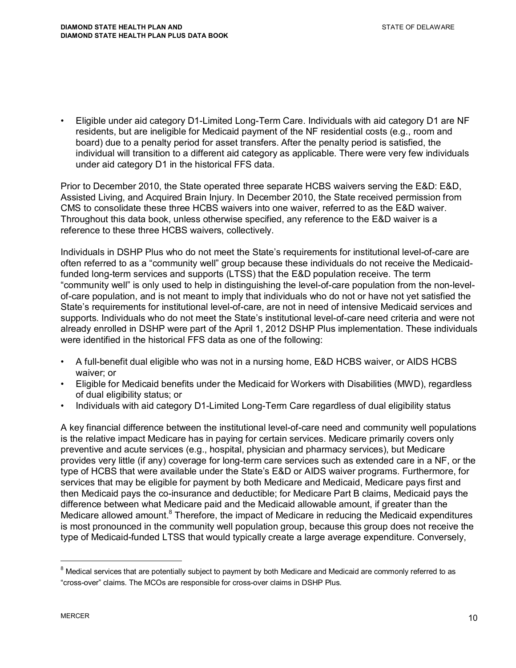• Eligible under aid category D1-Limited Long-Term Care. Individuals with aid category D1 are NF residents, but are ineligible for Medicaid payment of the NF residential costs (e.g., room and board) due to a penalty period for asset transfers. After the penalty period is satisfied, the individual will transition to a different aid category as applicable. There were very few individuals under aid category D1 in the historical FFS data.

Prior to December 2010, the State operated three separate HCBS waivers serving the E&D: E&D, Assisted Living, and Acquired Brain Injury. In December 2010, the State received permission from CMS to consolidate these three HCBS waivers into one waiver, referred to as the E&D waiver. Throughout this data book, unless otherwise specified, any reference to the E&D waiver is a reference to these three HCBS waivers, collectively.

Individuals in DSHP Plus who do not meet the State's requirements for institutional level-of-care are often referred to as a "community well" group because these individuals do not receive the Medicaidfunded long-term services and supports (LTSS) that the E&D population receive. The term "community well" is only used to help in distinguishing the level-of-care population from the non-levelof-care population, and is not meant to imply that individuals who do not or have not yet satisfied the State's requirements for institutional level-of-care, are not in need of intensive Medicaid services and supports. Individuals who do not meet the State's institutional level-of-care need criteria and were not already enrolled in DSHP were part of the April 1, 2012 DSHP Plus implementation. These individuals were identified in the historical FFS data as one of the following:

- A full-benefit dual eligible who was not in a nursing home, E&D HCBS waiver, or AIDS HCBS waiver; or
- Eligible for Medicaid benefits under the Medicaid for Workers with Disabilities (MWD), regardless of dual eligibility status; or
- Individuals with aid category D1-Limited Long-Term Care regardless of dual eligibility status

A key financial difference between the institutional level-of-care need and community well populations is the relative impact Medicare has in paying for certain services. Medicare primarily covers only preventive and acute services (e.g., hospital, physician and pharmacy services), but Medicare provides very little (if any) coverage for long-term care services such as extended care in a NF, or the type of HCBS that were available under the State's E&D or AIDS waiver programs. Furthermore, for services that may be eligible for payment by both Medicare and Medicaid, Medicare pays first and then Medicaid pays the co-insurance and deductible; for Medicare Part B claims, Medicaid pays the difference between what Medicare paid and the Medicaid allowable amount, if greater than the Medicare allowed amount.<sup>8</sup> Therefore, the impact of Medicare in reducing the Medicaid expenditures is most pronounced in the community well population group, because this group does not receive the type of Medicaid-funded LTSS that would typically create a large average expenditure. Conversely,

 $^8$  Medical services that are potentially subject to payment by both Medicare and Medicaid are commonly referred to as "cross-over" claims. The MCOs are responsible for cross-over claims in DSHP Plus.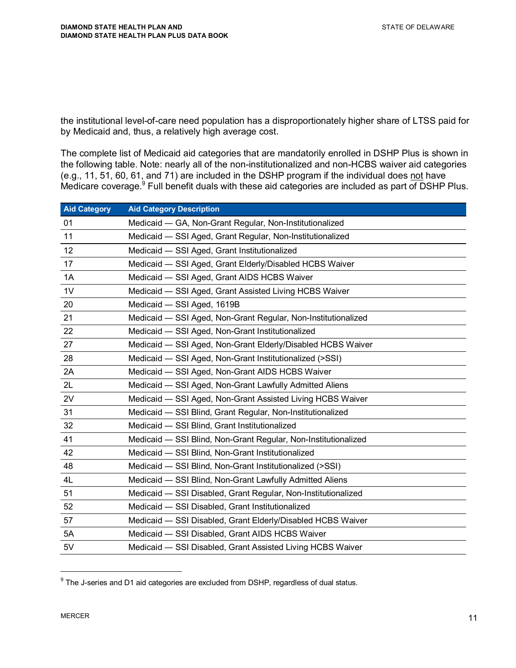the institutional level-of-care need population has a disproportionately higher share of LTSS paid for by Medicaid and, thus, a relatively high average cost.

The complete list of Medicaid aid categories that are mandatorily enrolled in DSHP Plus is shown in the following table. Note: nearly all of the non-institutionalized and non-HCBS waiver aid categories (e.g., 11, 51, 60, 61, and 71) are included in the DSHP program if the individual does not have Medicare coverage.<sup>9</sup> Full benefit duals with these aid categories are included as part of DSHP Plus.

| <b>Aid Category Description</b>                                |
|----------------------------------------------------------------|
| Medicaid - GA, Non-Grant Regular, Non-Institutionalized        |
| Medicaid - SSI Aged, Grant Regular, Non-Institutionalized      |
| Medicaid - SSI Aged, Grant Institutionalized                   |
| Medicaid - SSI Aged, Grant Elderly/Disabled HCBS Waiver        |
| Medicaid - SSI Aged, Grant AIDS HCBS Waiver                    |
| Medicaid - SSI Aged, Grant Assisted Living HCBS Waiver         |
| Medicaid - SSI Aged, 1619B                                     |
| Medicaid - SSI Aged, Non-Grant Regular, Non-Institutionalized  |
| Medicaid - SSI Aged, Non-Grant Institutionalized               |
| Medicaid - SSI Aged, Non-Grant Elderly/Disabled HCBS Waiver    |
| Medicaid - SSI Aged, Non-Grant Institutionalized (>SSI)        |
| Medicaid - SSI Aged, Non-Grant AIDS HCBS Waiver                |
| Medicaid - SSI Aged, Non-Grant Lawfully Admitted Aliens        |
| Medicaid - SSI Aged, Non-Grant Assisted Living HCBS Waiver     |
| Medicaid - SSI Blind, Grant Regular, Non-Institutionalized     |
| Medicaid - SSI Blind, Grant Institutionalized                  |
| Medicaid - SSI Blind, Non-Grant Regular, Non-Institutionalized |
| Medicaid - SSI Blind, Non-Grant Institutionalized              |
| Medicaid - SSI Blind, Non-Grant Institutionalized (>SSI)       |
| Medicaid - SSI Blind, Non-Grant Lawfully Admitted Aliens       |
| Medicaid - SSI Disabled, Grant Regular, Non-Institutionalized  |
| Medicaid - SSI Disabled, Grant Institutionalized               |
| Medicaid - SSI Disabled, Grant Elderly/Disabled HCBS Waiver    |
| Medicaid - SSI Disabled, Grant AIDS HCBS Waiver                |
| Medicaid - SSI Disabled, Grant Assisted Living HCBS Waiver     |
|                                                                |

 $9$  The J-series and D1 aid categories are excluded from DSHP, regardless of dual status.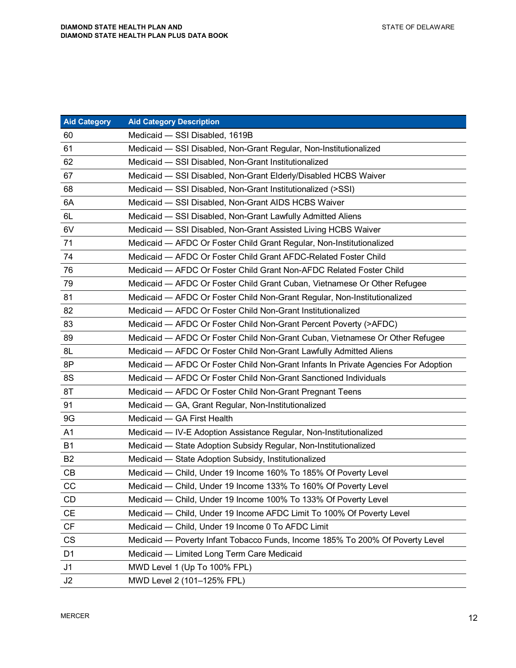| <b>Aid Category</b>    | <b>Aid Category Description</b>                                                    |
|------------------------|------------------------------------------------------------------------------------|
| 60                     | Medicaid - SSI Disabled, 1619B                                                     |
| 61                     | Medicaid - SSI Disabled, Non-Grant Regular, Non-Institutionalized                  |
| 62                     | Medicaid - SSI Disabled, Non-Grant Institutionalized                               |
| 67                     | Medicaid - SSI Disabled, Non-Grant Elderly/Disabled HCBS Waiver                    |
| 68                     | Medicaid - SSI Disabled, Non-Grant Institutionalized (>SSI)                        |
| 6A                     | Medicaid - SSI Disabled, Non-Grant AIDS HCBS Waiver                                |
| 6L                     | Medicaid - SSI Disabled, Non-Grant Lawfully Admitted Aliens                        |
| 6V                     | Medicaid - SSI Disabled, Non-Grant Assisted Living HCBS Waiver                     |
| 71                     | Medicaid - AFDC Or Foster Child Grant Regular, Non-Institutionalized               |
| 74                     | Medicaid - AFDC Or Foster Child Grant AFDC-Related Foster Child                    |
| 76                     | Medicaid - AFDC Or Foster Child Grant Non-AFDC Related Foster Child                |
| 79                     | Medicaid - AFDC Or Foster Child Grant Cuban, Vietnamese Or Other Refugee           |
| 81                     | Medicaid - AFDC Or Foster Child Non-Grant Regular, Non-Institutionalized           |
| 82                     | Medicaid - AFDC Or Foster Child Non-Grant Institutionalized                        |
| 83                     | Medicaid - AFDC Or Foster Child Non-Grant Percent Poverty (>AFDC)                  |
| 89                     | Medicaid — AFDC Or Foster Child Non-Grant Cuban, Vietnamese Or Other Refugee       |
| 8L                     | Medicaid - AFDC Or Foster Child Non-Grant Lawfully Admitted Aliens                 |
| 8P                     | Medicaid - AFDC Or Foster Child Non-Grant Infants In Private Agencies For Adoption |
| 8S                     | Medicaid - AFDC Or Foster Child Non-Grant Sanctioned Individuals                   |
| 8T                     | Medicaid - AFDC Or Foster Child Non-Grant Pregnant Teens                           |
| 91                     | Medicaid - GA, Grant Regular, Non-Institutionalized                                |
| 9G                     | Medicaid - GA First Health                                                         |
| A <sub>1</sub>         | Medicaid - IV-E Adoption Assistance Regular, Non-Institutionalized                 |
| <b>B1</b>              | Medicaid - State Adoption Subsidy Regular, Non-Institutionalized                   |
| B <sub>2</sub>         | Medicaid - State Adoption Subsidy, Institutionalized                               |
| CB                     | Medicaid - Child, Under 19 Income 160% To 185% Of Poverty Level                    |
| CC                     | Medicaid - Child, Under 19 Income 133% To 160% Of Poverty Level                    |
| CD                     | Medicaid - Child, Under 19 Income 100% To 133% Of Poverty Level                    |
| <b>CE</b>              | Medicaid - Child, Under 19 Income AFDC Limit To 100% Of Poverty Level              |
| $\mathsf{C}\mathsf{F}$ | Medicaid - Child, Under 19 Income 0 To AFDC Limit                                  |
| CS                     | Medicaid — Poverty Infant Tobacco Funds, Income 185% To 200% Of Poverty Level      |
| D <sub>1</sub>         | Medicaid - Limited Long Term Care Medicaid                                         |
| J <sub>1</sub>         | MWD Level 1 (Up To 100% FPL)                                                       |
| J2                     | MWD Level 2 (101-125% FPL)                                                         |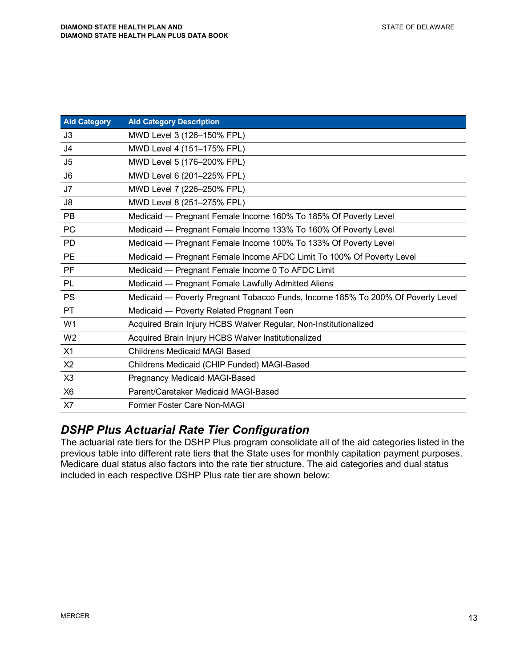| <b>Aid Category</b> | <b>Aid Category Description</b>                                                 |
|---------------------|---------------------------------------------------------------------------------|
| J3                  | MWD Level 3 (126-150% FPL)                                                      |
| J <sub>4</sub>      | MWD Level 4 (151-175% FPL)                                                      |
| J5                  | MWD Level 5 (176-200% FPL)                                                      |
| J <sub>6</sub>      | MWD Level 6 (201-225% FPL)                                                      |
| J7                  | MWD Level 7 (226-250% FPL)                                                      |
| J8                  | MWD Level 8 (251-275% FPL)                                                      |
| <b>PB</b>           | Medicaid — Pregnant Female Income 160% To 185% Of Poverty Level                 |
| <b>PC</b>           | Medicaid - Pregnant Female Income 133% To 160% Of Poverty Level                 |
| <b>PD</b>           | Medicaid — Pregnant Female Income 100% To 133% Of Poverty Level                 |
| <b>PE</b>           | Medicaid - Pregnant Female Income AFDC Limit To 100% Of Poverty Level           |
| <b>PF</b>           | Medicaid - Pregnant Female Income 0 To AFDC Limit                               |
| <b>PL</b>           | Medicaid - Pregnant Female Lawfully Admitted Aliens                             |
| <b>PS</b>           | Medicaid - Poverty Pregnant Tobacco Funds, Income 185% To 200% Of Poverty Level |
| <b>PT</b>           | Medicaid - Poverty Related Pregnant Teen                                        |
| W <sub>1</sub>      | Acquired Brain Injury HCBS Waiver Regular, Non-Institutionalized                |
| W <sub>2</sub>      | Acquired Brain Injury HCBS Waiver Institutionalized                             |
| X1                  | <b>Childrens Medicaid MAGI Based</b>                                            |
| X <sub>2</sub>      | Childrens Medicaid (CHIP Funded) MAGI-Based                                     |
| X3                  | Pregnancy Medicaid MAGI-Based                                                   |
| X <sub>6</sub>      | Parent/Caretaker Medicaid MAGI-Based                                            |
| X <sub>7</sub>      | Former Foster Care Non-MAGI                                                     |

#### *DSHP Plus Actuarial Rate Tier Configuration*

The actuarial rate tiers for the DSHP Plus program consolidate all of the aid categories listed in the previous table into different rate tiers that the State uses for monthly capitation payment purposes. Medicare dual status also factors into the rate tier structure. The aid categories and dual status included in each respective DSHP Plus rate tier are shown below: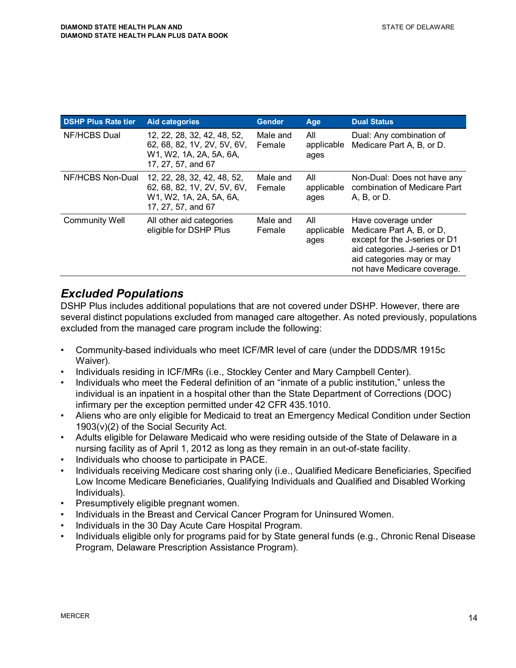| <b>DSHP Plus Rate tier</b> | <b>Aid categories</b>                                                                                       | <b>Gender</b>      | Age                       | <b>Dual Status</b>                                                                                                                                                              |
|----------------------------|-------------------------------------------------------------------------------------------------------------|--------------------|---------------------------|---------------------------------------------------------------------------------------------------------------------------------------------------------------------------------|
| NF/HCBS Dual               | 12, 22, 28, 32, 42, 48, 52,<br>62, 68, 82, 1V, 2V, 5V, 6V,<br>W1, W2, 1A, 2A, 5A, 6A,<br>17, 27, 57, and 67 | Male and<br>Female | All<br>applicable<br>ages | Dual: Any combination of<br>Medicare Part A, B, or D.                                                                                                                           |
| NF/HCBS Non-Dual           | 12, 22, 28, 32, 42, 48, 52,<br>62, 68, 82, 1V, 2V, 5V, 6V,<br>W1, W2, 1A, 2A, 5A, 6A,<br>17, 27, 57, and 67 | Male and<br>Female | All<br>applicable<br>ages | Non-Dual: Does not have any<br>combination of Medicare Part<br>A, B, or D.                                                                                                      |
| <b>Community Well</b>      | All other aid categories<br>eligible for DSHP Plus                                                          | Male and<br>Female | All<br>applicable<br>ages | Have coverage under<br>Medicare Part A, B, or D,<br>except for the J-series or D1<br>aid categories. J-series or D1<br>aid categories may or may<br>not have Medicare coverage. |

#### *Excluded Populations*

DSHP Plus includes additional populations that are not covered under DSHP. However, there are several distinct populations excluded from managed care altogether. As noted previously, populations excluded from the managed care program include the following:

- Community-based individuals who meet ICF/MR level of care (under the DDDS/MR 1915c Waiver).
- Individuals residing in ICF/MRs (i.e., Stockley Center and Mary Campbell Center).
- Individuals who meet the Federal definition of an "inmate of a public institution," unless the individual is an inpatient in a hospital other than the State Department of Corrections (DOC) infirmary per the exception permitted under 42 CFR 435.1010.
- Aliens who are only eligible for Medicaid to treat an Emergency Medical Condition under Section 1903(v)(2) of the Social Security Act.
- Adults eligible for Delaware Medicaid who were residing outside of the State of Delaware in a nursing facility as of April 1, 2012 as long as they remain in an out-of-state facility.
- Individuals who choose to participate in PACE.
- Individuals receiving Medicare cost sharing only (i.e., Qualified Medicare Beneficiaries, Specified Low Income Medicare Beneficiaries, Qualifying Individuals and Qualified and Disabled Working Individuals).
- Presumptively eligible pregnant women.
- Individuals in the Breast and Cervical Cancer Program for Uninsured Women.
- Individuals in the 30 Day Acute Care Hospital Program.
- Individuals eligible only for programs paid for by State general funds (e.g., Chronic Renal Disease Program, Delaware Prescription Assistance Program).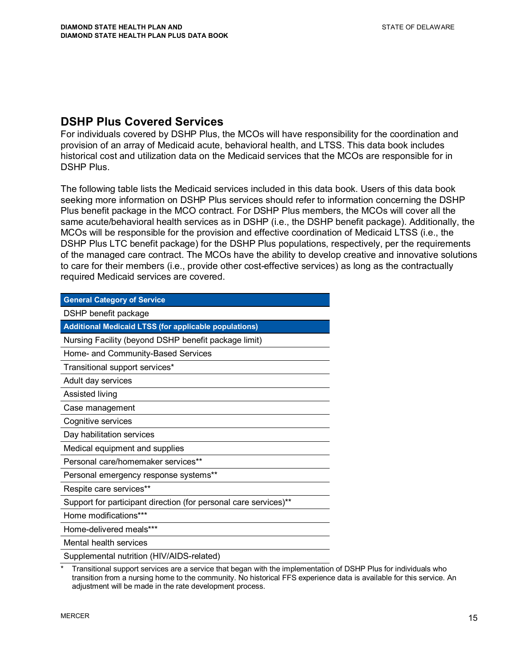#### **DSHP Plus Covered Services**

For individuals covered by DSHP Plus, the MCOs will have responsibility for the coordination and provision of an array of Medicaid acute, behavioral health, and LTSS. This data book includes historical cost and utilization data on the Medicaid services that the MCOs are responsible for in DSHP Plus.

The following table lists the Medicaid services included in this data book. Users of this data book seeking more information on DSHP Plus services should refer to information concerning the DSHP Plus benefit package in the MCO contract. For DSHP Plus members, the MCOs will cover all the same acute/behavioral health services as in DSHP (i.e., the DSHP benefit package). Additionally, the MCOs will be responsible for the provision and effective coordination of Medicaid LTSS (i.e., the DSHP Plus LTC benefit package) for the DSHP Plus populations, respectively, per the requirements of the managed care contract. The MCOs have the ability to develop creative and innovative solutions to care for their members (i.e., provide other cost-effective services) as long as the contractually required Medicaid services are covered.

| <b>General Category of Service</b>                               |  |  |  |  |
|------------------------------------------------------------------|--|--|--|--|
| DSHP benefit package                                             |  |  |  |  |
| <b>Additional Medicaid LTSS (for applicable populations)</b>     |  |  |  |  |
| Nursing Facility (beyond DSHP benefit package limit)             |  |  |  |  |
| Home- and Community-Based Services                               |  |  |  |  |
| Transitional support services*                                   |  |  |  |  |
| Adult day services                                               |  |  |  |  |
| Assisted living                                                  |  |  |  |  |
| Case management                                                  |  |  |  |  |
| Cognitive services                                               |  |  |  |  |
| Day habilitation services                                        |  |  |  |  |
| Medical equipment and supplies                                   |  |  |  |  |
| Personal care/homemaker services**                               |  |  |  |  |
| Personal emergency response systems**                            |  |  |  |  |
| Respite care services**                                          |  |  |  |  |
| Support for participant direction (for personal care services)** |  |  |  |  |
| Home modifications***                                            |  |  |  |  |
| Home-delivered meals***                                          |  |  |  |  |
| Mental health services                                           |  |  |  |  |
| Supplemental nutrition (HIV/AIDS-related)                        |  |  |  |  |

Transitional support services are a service that began with the implementation of DSHP Plus for individuals who transition from a nursing home to the community. No historical FFS experience data is available for this service. An adjustment will be made in the rate development process.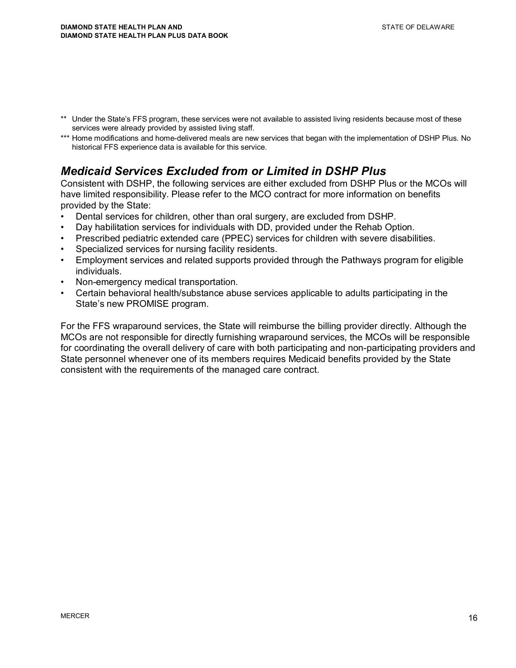- \*\* Under the State's FFS program, these services were not available to assisted living residents because most of these services were already provided by assisted living staff.
- \*\*\* Home modifications and home-delivered meals are new services that began with the implementation of DSHP Plus. No historical FFS experience data is available for this service.

### *Medicaid Services Excluded from or Limited in DSHP Plus*

Consistent with DSHP, the following services are either excluded from DSHP Plus or the MCOs will have limited responsibility. Please refer to the MCO contract for more information on benefits provided by the State:

- Dental services for children, other than oral surgery, are excluded from DSHP.
- Day habilitation services for individuals with DD, provided under the Rehab Option.
- Prescribed pediatric extended care (PPEC) services for children with severe disabilities.
- Specialized services for nursing facility residents.
- Employment services and related supports provided through the Pathways program for eligible individuals.
- Non-emergency medical transportation.
- Certain behavioral health/substance abuse services applicable to adults participating in the State's new PROMISE program.

For the FFS wraparound services, the State will reimburse the billing provider directly. Although the MCOs are not responsible for directly furnishing wraparound services, the MCOs will be responsible for coordinating the overall delivery of care with both participating and non-participating providers and State personnel whenever one of its members requires Medicaid benefits provided by the State consistent with the requirements of the managed care contract.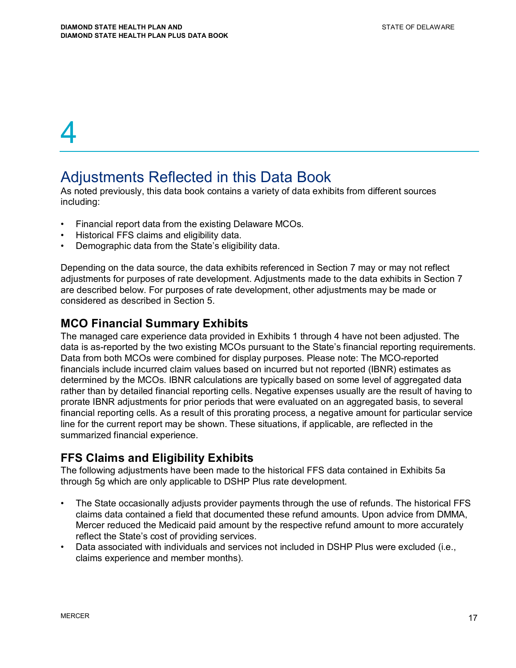### Adjustments Reflected in this Data Book

As noted previously, this data book contains a variety of data exhibits from different sources including:

- Financial report data from the existing Delaware MCOs.
- Historical FFS claims and eligibility data.
- Demographic data from the State's eligibility data.

Depending on the data source, the data exhibits referenced in Section 7 may or may not reflect adjustments for purposes of rate development. Adjustments made to the data exhibits in Section 7 are described below. For purposes of rate development, other adjustments may be made or considered as described in Section 5.

#### **MCO Financial Summary Exhibits**

The managed care experience data provided in Exhibits 1 through 4 have not been adjusted. The data is as-reported by the two existing MCOs pursuant to the State's financial reporting requirements. Data from both MCOs were combined for display purposes. Please note: The MCO-reported financials include incurred claim values based on incurred but not reported (IBNR) estimates as determined by the MCOs. IBNR calculations are typically based on some level of aggregated data rather than by detailed financial reporting cells. Negative expenses usually are the result of having to prorate IBNR adjustments for prior periods that were evaluated on an aggregated basis, to several financial reporting cells. As a result of this prorating process, a negative amount for particular service line for the current report may be shown. These situations, if applicable, are reflected in the summarized financial experience.

#### **FFS Claims and Eligibility Exhibits**

The following adjustments have been made to the historical FFS data contained in Exhibits 5a through 5g which are only applicable to DSHP Plus rate development.

- The State occasionally adjusts provider payments through the use of refunds. The historical FFS claims data contained a field that documented these refund amounts. Upon advice from DMMA, Mercer reduced the Medicaid paid amount by the respective refund amount to more accurately reflect the State's cost of providing services.
- Data associated with individuals and services not included in DSHP Plus were excluded (i.e., claims experience and member months).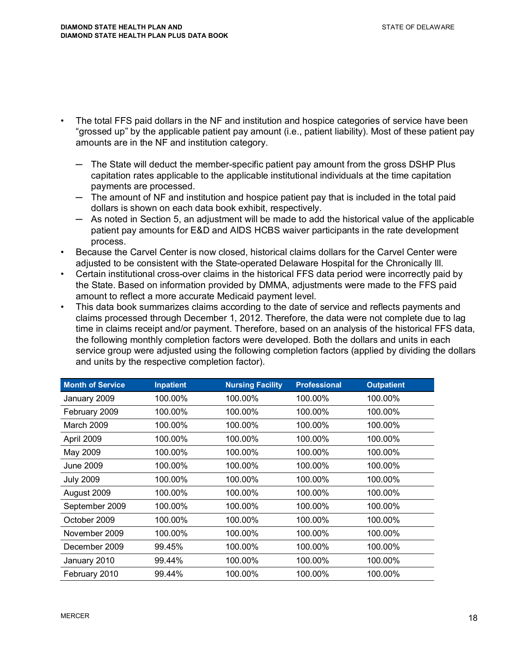- The total FFS paid dollars in the NF and institution and hospice categories of service have been "grossed up" by the applicable patient pay amount (i.e., patient liability). Most of these patient pay amounts are in the NF and institution category.
	- $-$  The State will deduct the member-specific patient pay amount from the gross DSHP Plus capitation rates applicable to the applicable institutional individuals at the time capitation payments are processed.
	- $-$  The amount of NF and institution and hospice patient pay that is included in the total paid dollars is shown on each data book exhibit, respectively.
	- $-$  As noted in Section 5, an adjustment will be made to add the historical value of the applicable patient pay amounts for E&D and AIDS HCBS waiver participants in the rate development process.
- Because the Carvel Center is now closed, historical claims dollars for the Carvel Center were adjusted to be consistent with the State-operated Delaware Hospital for the Chronically Ill.
- Certain institutional cross-over claims in the historical FFS data period were incorrectly paid by the State. Based on information provided by DMMA, adjustments were made to the FFS paid amount to reflect a more accurate Medicaid payment level.
- This data book summarizes claims according to the date of service and reflects payments and claims processed through December 1, 2012. Therefore, the data were not complete due to lag time in claims receipt and/or payment. Therefore, based on an analysis of the historical FFS data, the following monthly completion factors were developed. Both the dollars and units in each service group were adjusted using the following completion factors (applied by dividing the dollars and units by the respective completion factor).

| <b>Month of Service</b> | <b>Inpatient</b> | <b>Nursing Facility</b> | <b>Professional</b> | <b>Outpatient</b> |
|-------------------------|------------------|-------------------------|---------------------|-------------------|
| January 2009            | 100.00%          | 100.00%                 | 100.00%             | 100.00%           |
| February 2009           | 100.00%          | 100.00%                 | 100.00%             | 100.00%           |
| March 2009              | 100.00%          | 100.00%                 | 100.00%             | 100.00%           |
| April 2009              | 100.00%          | 100.00%                 | 100.00%             | 100.00%           |
| May 2009                | 100.00%          | 100.00%                 | 100.00%             | 100.00%           |
| <b>June 2009</b>        | 100.00%          | 100.00%                 | 100.00%             | 100.00%           |
| <b>July 2009</b>        | 100.00%          | 100.00%                 | 100.00%             | 100.00%           |
| August 2009             | 100.00%          | 100.00%                 | 100.00%             | 100.00%           |
| September 2009          | 100.00%          | 100.00%                 | 100.00%             | 100.00%           |
| October 2009            | 100.00%          | 100.00%                 | 100.00%             | 100.00%           |
| November 2009           | 100.00%          | 100.00%                 | 100.00%             | 100.00%           |
| December 2009           | 99.45%           | 100.00%                 | 100.00%             | 100.00%           |
| January 2010            | 99.44%           | 100.00%                 | 100.00%             | 100.00%           |
| February 2010           | 99.44%           | 100.00%                 | 100.00%             | 100.00%           |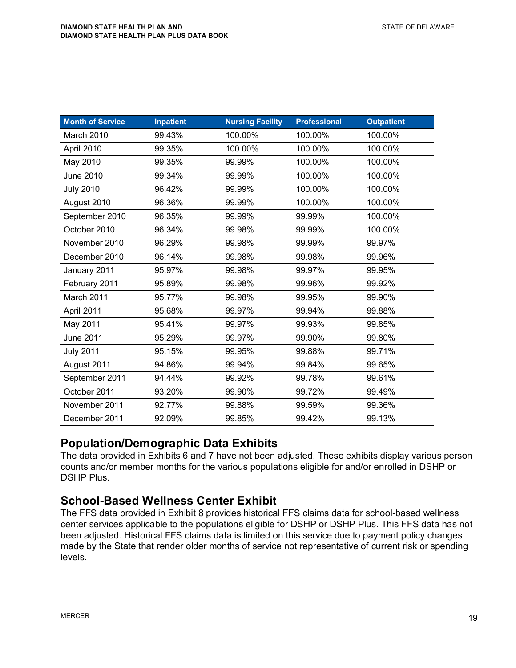| <b>Month of Service</b> | <b>Inpatient</b> | <b>Nursing Facility</b> | <b>Professional</b> | <b>Outpatient</b> |
|-------------------------|------------------|-------------------------|---------------------|-------------------|
| March 2010              | 99.43%           | 100.00%                 | 100.00%             | 100.00%           |
| April 2010              | 99.35%           | 100.00%                 | 100.00%             | 100.00%           |
| May 2010                | 99.35%           | 99.99%                  | 100.00%             | 100.00%           |
| <b>June 2010</b>        | 99.34%           | 99.99%                  | 100.00%             | 100.00%           |
| <b>July 2010</b>        | 96.42%           | 99.99%                  | 100.00%             | 100.00%           |
| August 2010             | 96.36%           | 99.99%                  | 100.00%             | 100.00%           |
| September 2010          | 96.35%           | 99.99%                  | 99.99%              | 100.00%           |
| October 2010            | 96.34%           | 99.98%                  | 99.99%              | 100.00%           |
| November 2010           | 96.29%           | 99.98%                  | 99.99%              | 99.97%            |
| December 2010           | 96.14%           | 99.98%                  | 99.98%              | 99.96%            |
| January 2011            | 95.97%           | 99.98%                  | 99.97%              | 99.95%            |
| February 2011           | 95.89%           | 99.98%                  | 99.96%              | 99.92%            |
| March 2011              | 95.77%           | 99.98%                  | 99.95%              | 99.90%            |
| April 2011              | 95.68%           | 99.97%                  | 99.94%              | 99.88%            |
| May 2011                | 95.41%           | 99.97%                  | 99.93%              | 99.85%            |
| June 2011               | 95.29%           | 99.97%                  | 99.90%              | 99.80%            |
| <b>July 2011</b>        | 95.15%           | 99.95%                  | 99.88%              | 99.71%            |
| August 2011             | 94.86%           | 99.94%                  | 99.84%              | 99.65%            |
| September 2011          | 94.44%           | 99.92%                  | 99.78%              | 99.61%            |
| October 2011            | 93.20%           | 99.90%                  | 99.72%              | 99.49%            |
| November 2011           | 92.77%           | 99.88%                  | 99.59%              | 99.36%            |
| December 2011           | 92.09%           | 99.85%                  | 99.42%              | 99.13%            |

#### **Population/Demographic Data Exhibits**

The data provided in Exhibits 6 and 7 have not been adjusted. These exhibits display various person counts and/or member months for the various populations eligible for and/or enrolled in DSHP or DSHP Plus.

#### **School-Based Wellness Center Exhibit**

The FFS data provided in Exhibit 8 provides historical FFS claims data for school-based wellness center services applicable to the populations eligible for DSHP or DSHP Plus. This FFS data has not been adjusted. Historical FFS claims data is limited on this service due to payment policy changes made by the State that render older months of service not representative of current risk or spending levels.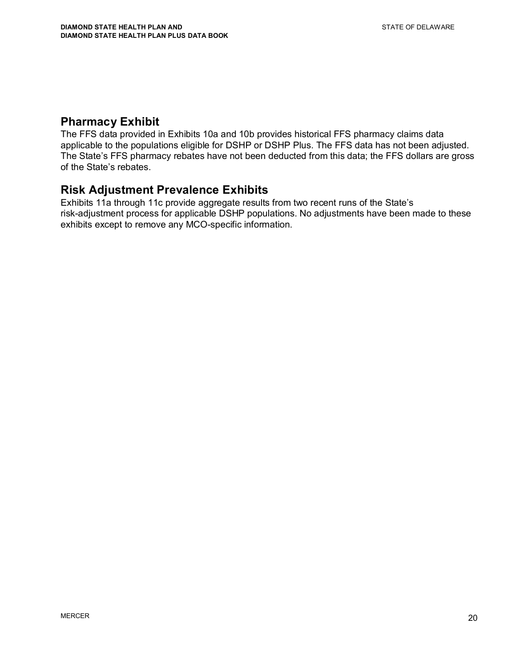#### **Pharmacy Exhibit**

The FFS data provided in Exhibits 10a and 10b provides historical FFS pharmacy claims data applicable to the populations eligible for DSHP or DSHP Plus. The FFS data has not been adjusted. The State's FFS pharmacy rebates have not been deducted from this data; the FFS dollars are gross of the State's rebates.

#### **Risk Adjustment Prevalence Exhibits**

Exhibits 11a through 11c provide aggregate results from two recent runs of the State's risk-adjustment process for applicable DSHP populations. No adjustments have been made to these exhibits except to remove any MCO-specific information.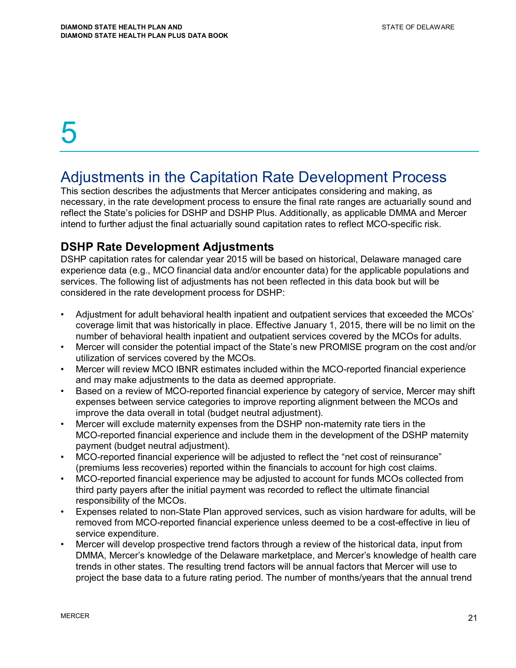### Adjustments in the Capitation Rate Development Process

This section describes the adjustments that Mercer anticipates considering and making, as necessary, in the rate development process to ensure the final rate ranges are actuarially sound and reflect the State's policies for DSHP and DSHP Plus. Additionally, as applicable DMMA and Mercer intend to further adjust the final actuarially sound capitation rates to reflect MCO-specific risk.

#### **DSHP Rate Development Adjustments**

DSHP capitation rates for calendar year 2015 will be based on historical, Delaware managed care experience data (e.g., MCO financial data and/or encounter data) for the applicable populations and services. The following list of adjustments has not been reflected in this data book but will be considered in the rate development process for DSHP:

- Adjustment for adult behavioral health inpatient and outpatient services that exceeded the MCOs' coverage limit that was historically in place. Effective January 1, 2015, there will be no limit on the number of behavioral health inpatient and outpatient services covered by the MCOs for adults.
- Mercer will consider the potential impact of the State's new PROMISE program on the cost and/or utilization of services covered by the MCOs.
- Mercer will review MCO IBNR estimates included within the MCO-reported financial experience and may make adjustments to the data as deemed appropriate.
- Based on a review of MCO-reported financial experience by category of service, Mercer may shift expenses between service categories to improve reporting alignment between the MCOs and improve the data overall in total (budget neutral adjustment).
- Mercer will exclude maternity expenses from the DSHP non-maternity rate tiers in the MCO-reported financial experience and include them in the development of the DSHP maternity payment (budget neutral adjustment).
- MCO-reported financial experience will be adjusted to reflect the "net cost of reinsurance" (premiums less recoveries) reported within the financials to account for high cost claims.
- MCO-reported financial experience may be adjusted to account for funds MCOs collected from third party payers after the initial payment was recorded to reflect the ultimate financial responsibility of the MCOs.
- Expenses related to non-State Plan approved services, such as vision hardware for adults, will be removed from MCO-reported financial experience unless deemed to be a cost-effective in lieu of service expenditure.
- Mercer will develop prospective trend factors through a review of the historical data, input from DMMA, Mercer's knowledge of the Delaware marketplace, and Mercer's knowledge of health care trends in other states. The resulting trend factors will be annual factors that Mercer will use to project the base data to a future rating period. The number of months/years that the annual trend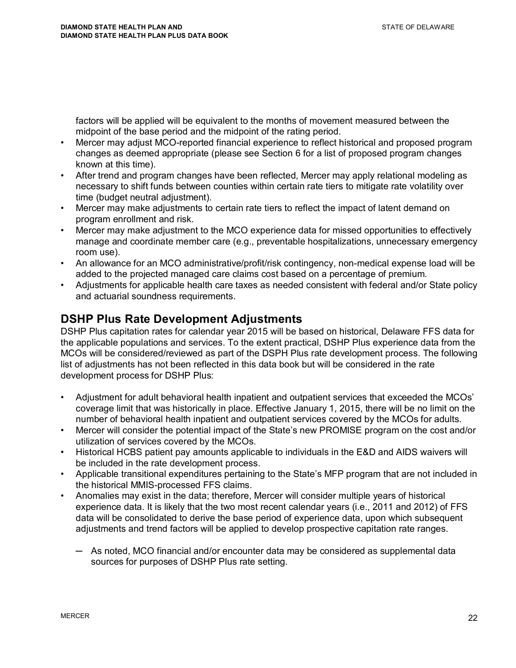factors will be applied will be equivalent to the months of movement measured between the midpoint of the base period and the midpoint of the rating period.

- Mercer may adjust MCO-reported financial experience to reflect historical and proposed program changes as deemed appropriate (please see Section 6 for a list of proposed program changes known at this time).
- After trend and program changes have been reflected, Mercer may apply relational modeling as necessary to shift funds between counties within certain rate tiers to mitigate rate volatility over time (budget neutral adjustment).
- Mercer may make adjustments to certain rate tiers to reflect the impact of latent demand on program enrollment and risk.
- Mercer may make adjustment to the MCO experience data for missed opportunities to effectively manage and coordinate member care (e.g., preventable hospitalizations, unnecessary emergency room use).
- An allowance for an MCO administrative/profit/risk contingency, non-medical expense load will be added to the projected managed care claims cost based on a percentage of premium.
- Adjustments for applicable health care taxes as needed consistent with federal and/or State policy and actuarial soundness requirements.

#### **DSHP Plus Rate Development Adjustments**

DSHP Plus capitation rates for calendar year 2015 will be based on historical, Delaware FFS data for the applicable populations and services. To the extent practical, DSHP Plus experience data from the MCOs will be considered/reviewed as part of the DSPH Plus rate development process. The following list of adjustments has not been reflected in this data book but will be considered in the rate development process for DSHP Plus:

- Adjustment for adult behavioral health inpatient and outpatient services that exceeded the MCOs' coverage limit that was historically in place. Effective January 1, 2015, there will be no limit on the number of behavioral health inpatient and outpatient services covered by the MCOs for adults.
- Mercer will consider the potential impact of the State's new PROMISE program on the cost and/or utilization of services covered by the MCOs.
- Historical HCBS patient pay amounts applicable to individuals in the E&D and AIDS waivers will be included in the rate development process.
- Applicable transitional expenditures pertaining to the State's MFP program that are not included in the historical MMIS-processed FFS claims.
- Anomalies may exist in the data; therefore, Mercer will consider multiple years of historical experience data. It is likely that the two most recent calendar years (i.e., 2011 and 2012) of FFS data will be consolidated to derive the base period of experience data, upon which subsequent adjustments and trend factors will be applied to develop prospective capitation rate ranges.
	- $-$  As noted, MCO financial and/or encounter data may be considered as supplemental data sources for purposes of DSHP Plus rate setting.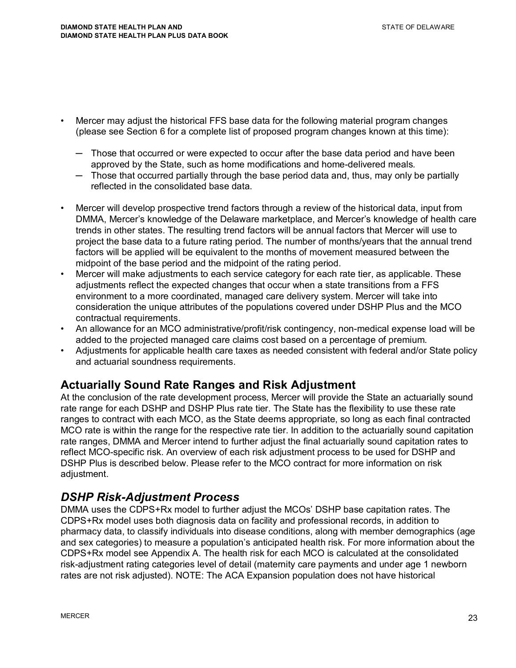- Mercer may adjust the historical FFS base data for the following material program changes (please see Section 6 for a complete list of proposed program changes known at this time):
	- $-$  Those that occurred or were expected to occur after the base data period and have been approved by the State, such as home modifications and home-delivered meals.
	- $-$  Those that occurred partially through the base period data and, thus, may only be partially reflected in the consolidated base data.
- Mercer will develop prospective trend factors through a review of the historical data, input from DMMA, Mercer's knowledge of the Delaware marketplace, and Mercer's knowledge of health care trends in other states. The resulting trend factors will be annual factors that Mercer will use to project the base data to a future rating period. The number of months/years that the annual trend factors will be applied will be equivalent to the months of movement measured between the midpoint of the base period and the midpoint of the rating period.
- Mercer will make adjustments to each service category for each rate tier, as applicable. These adjustments reflect the expected changes that occur when a state transitions from a FFS environment to a more coordinated, managed care delivery system. Mercer will take into consideration the unique attributes of the populations covered under DSHP Plus and the MCO contractual requirements.
- An allowance for an MCO administrative/profit/risk contingency, non-medical expense load will be added to the projected managed care claims cost based on a percentage of premium.
- Adjustments for applicable health care taxes as needed consistent with federal and/or State policy and actuarial soundness requirements.

#### **Actuarially Sound Rate Ranges and Risk Adjustment**

At the conclusion of the rate development process, Mercer will provide the State an actuarially sound rate range for each DSHP and DSHP Plus rate tier. The State has the flexibility to use these rate ranges to contract with each MCO, as the State deems appropriate, so long as each final contracted MCO rate is within the range for the respective rate tier. In addition to the actuarially sound capitation rate ranges, DMMA and Mercer intend to further adjust the final actuarially sound capitation rates to reflect MCO-specific risk. An overview of each risk adjustment process to be used for DSHP and DSHP Plus is described below. Please refer to the MCO contract for more information on risk adjustment.

### *DSHP Risk-Adjustment Process*

DMMA uses the CDPS+Rx model to further adjust the MCOs' DSHP base capitation rates. The CDPS+Rx model uses both diagnosis data on facility and professional records, in addition to pharmacy data, to classify individuals into disease conditions, along with member demographics (age and sex categories) to measure a population's anticipated health risk. For more information about the CDPS+Rx model see Appendix A. The health risk for each MCO is calculated at the consolidated risk-adjustment rating categories level of detail (maternity care payments and under age 1 newborn rates are not risk adjusted). NOTE: The ACA Expansion population does not have historical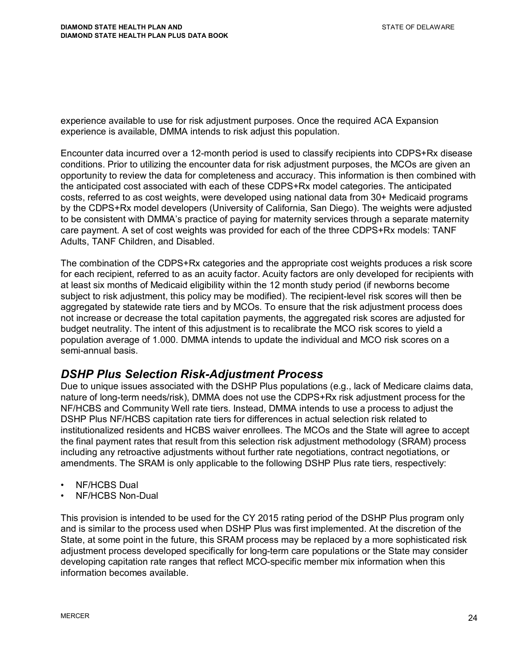experience available to use for risk adjustment purposes. Once the required ACA Expansion experience is available, DMMA intends to risk adjust this population.

Encounter data incurred over a 12-month period is used to classify recipients into CDPS+Rx disease conditions. Prior to utilizing the encounter data for risk adjustment purposes, the MCOs are given an opportunity to review the data for completeness and accuracy. This information is then combined with the anticipated cost associated with each of these CDPS+Rx model categories. The anticipated costs, referred to as cost weights, were developed using national data from 30+ Medicaid programs by the CDPS+Rx model developers (University of California, San Diego). The weights were adjusted to be consistent with DMMA's practice of paying for maternity services through a separate maternity care payment. A set of cost weights was provided for each of the three CDPS+Rx models: TANF Adults, TANF Children, and Disabled.

The combination of the CDPS+Rx categories and the appropriate cost weights produces a risk score for each recipient, referred to as an acuity factor. Acuity factors are only developed for recipients with at least six months of Medicaid eligibility within the 12 month study period (if newborns become subject to risk adjustment, this policy may be modified). The recipient-level risk scores will then be aggregated by statewide rate tiers and by MCOs. To ensure that the risk adjustment process does not increase or decrease the total capitation payments, the aggregated risk scores are adjusted for budget neutrality. The intent of this adjustment is to recalibrate the MCO risk scores to yield a population average of 1.000. DMMA intends to update the individual and MCO risk scores on a semi-annual basis.

#### *DSHP Plus Selection Risk-Adjustment Process*

Due to unique issues associated with the DSHP Plus populations (e.g., lack of Medicare claims data, nature of long-term needs/risk), DMMA does not use the CDPS+Rx risk adjustment process for the NF/HCBS and Community Well rate tiers. Instead, DMMA intends to use a process to adjust the DSHP Plus NF/HCBS capitation rate tiers for differences in actual selection risk related to institutionalized residents and HCBS waiver enrollees. The MCOs and the State will agree to accept the final payment rates that result from this selection risk adjustment methodology (SRAM) process including any retroactive adjustments without further rate negotiations, contract negotiations, or amendments. The SRAM is only applicable to the following DSHP Plus rate tiers, respectively:

- NF/HCBS Dual
- NF/HCBS Non-Dual

This provision is intended to be used for the CY 2015 rating period of the DSHP Plus program only and is similar to the process used when DSHP Plus was first implemented. At the discretion of the State, at some point in the future, this SRAM process may be replaced by a more sophisticated risk adjustment process developed specifically for long-term care populations or the State may consider developing capitation rate ranges that reflect MCO-specific member mix information when this information becomes available.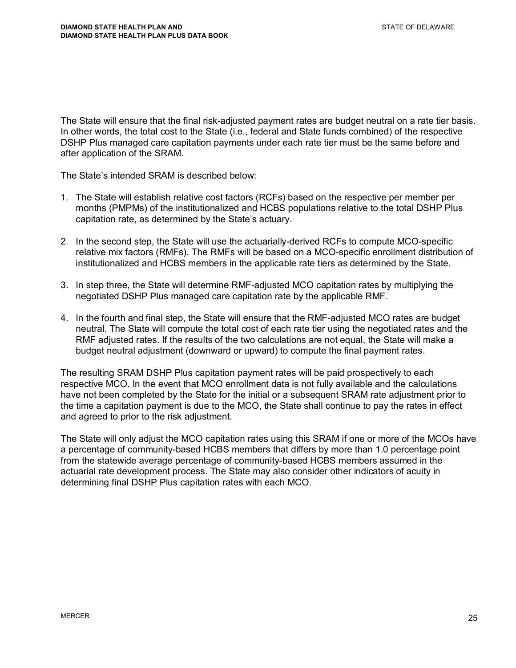The State will ensure that the final risk-adjusted payment rates are budget neutral on a rate tier basis. In other words, the total cost to the State (i.e., federal and State funds combined) of the respective DSHP Plus managed care capitation payments under each rate tier must be the same before and after application of the SRAM.

The State's intended SRAM is described below:

- 1. The State will establish relative cost factors (RCFs) based on the respective per member per months (PMPMs) of the institutionalized and HCBS populations relative to the total DSHP Plus capitation rate, as determined by the State's actuary.
- 2. In the second step, the State will use the actuarially-derived RCFs to compute MCO-specific relative mix factors (RMFs). The RMFs will be based on a MCO-specific enrollment distribution of institutionalized and HCBS members in the applicable rate tiers as determined by the State.
- 3. In step three, the State will determine RMF-adjusted MCO capitation rates by multiplying the negotiated DSHP Plus managed care capitation rate by the applicable RMF.
- 4. In the fourth and final step, the State will ensure that the RMF-adjusted MCO rates are budget neutral. The State will compute the total cost of each rate tier using the negotiated rates and the RMF adjusted rates. If the results of the two calculations are not equal, the State will make a budget neutral adjustment (downward or upward) to compute the final payment rates.

The resulting SRAM DSHP Plus capitation payment rates will be paid prospectively to each respective MCO. In the event that MCO enrollment data is not fully available and the calculations have not been completed by the State for the initial or a subsequent SRAM rate adjustment prior to the time a capitation payment is due to the MCO, the State shall continue to pay the rates in effect and agreed to prior to the risk adjustment.

The State will only adjust the MCO capitation rates using this SRAM if one or more of the MCOs have a percentage of community-based HCBS members that differs by more than 1.0 percentage point from the statewide average percentage of community-based HCBS members assumed in the actuarial rate development process. The State may also consider other indicators of acuity in determining final DSHP Plus capitation rates with each MCO.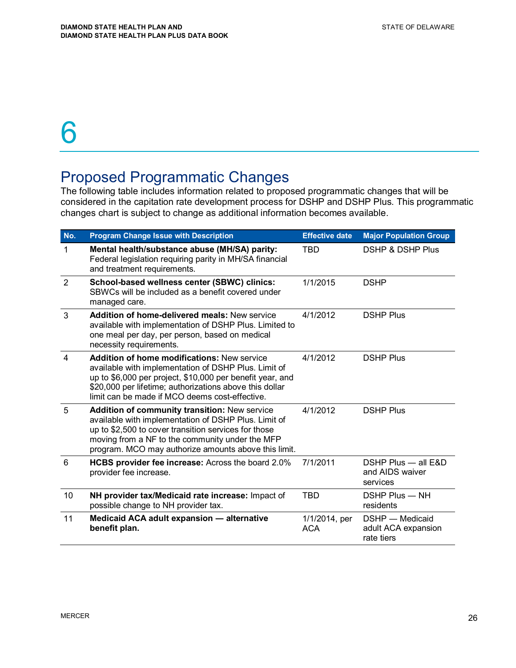### Proposed Programmatic Changes

The following table includes information related to proposed programmatic changes that will be considered in the capitation rate development process for DSHP and DSHP Plus. This programmatic changes chart is subject to change as additional information becomes available.

| No.                     | <b>Program Change Issue with Description</b>                                                                                                                                                                                                                                         | <b>Effective date</b>       | <b>Major Population Group</b>                        |
|-------------------------|--------------------------------------------------------------------------------------------------------------------------------------------------------------------------------------------------------------------------------------------------------------------------------------|-----------------------------|------------------------------------------------------|
| 1                       | Mental health/substance abuse (MH/SA) parity:<br>Federal legislation requiring parity in MH/SA financial<br>and treatment requirements.                                                                                                                                              | <b>TBD</b>                  | <b>DSHP &amp; DSHP Plus</b>                          |
| $\overline{2}$          | School-based wellness center (SBWC) clinics:<br>SBWCs will be included as a benefit covered under<br>managed care.                                                                                                                                                                   | 1/1/2015                    | <b>DSHP</b>                                          |
| 3                       | Addition of home-delivered meals: New service<br>available with implementation of DSHP Plus. Limited to<br>one meal per day, per person, based on medical<br>necessity requirements.                                                                                                 | 4/1/2012                    | <b>DSHP Plus</b>                                     |
| $\overline{\mathbf{A}}$ | <b>Addition of home modifications: New service</b><br>available with implementation of DSHP Plus. Limit of<br>up to \$6,000 per project, \$10,000 per benefit year, and<br>\$20,000 per lifetime; authorizations above this dollar<br>limit can be made if MCO deems cost-effective. | 4/1/2012                    | <b>DSHP Plus</b>                                     |
| 5                       | <b>Addition of community transition: New service</b><br>available with implementation of DSHP Plus. Limit of<br>up to \$2,500 to cover transition services for those<br>moving from a NF to the community under the MFP<br>program. MCO may authorize amounts above this limit.      | 4/1/2012                    | <b>DSHP Plus</b>                                     |
| 6                       | HCBS provider fee increase: Across the board 2.0%<br>provider fee increase.                                                                                                                                                                                                          | 7/1/2011                    | DSHP Plus - all E&D<br>and AIDS waiver<br>services   |
| 10                      | NH provider tax/Medicaid rate increase: Impact of<br>possible change to NH provider tax.                                                                                                                                                                                             | <b>TBD</b>                  | DSHP Plus - NH<br>residents                          |
| 11                      | Medicaid ACA adult expansion - alternative<br>benefit plan.                                                                                                                                                                                                                          | 1/1/2014, per<br><b>ACA</b> | DSHP - Medicaid<br>adult ACA expansion<br>rate tiers |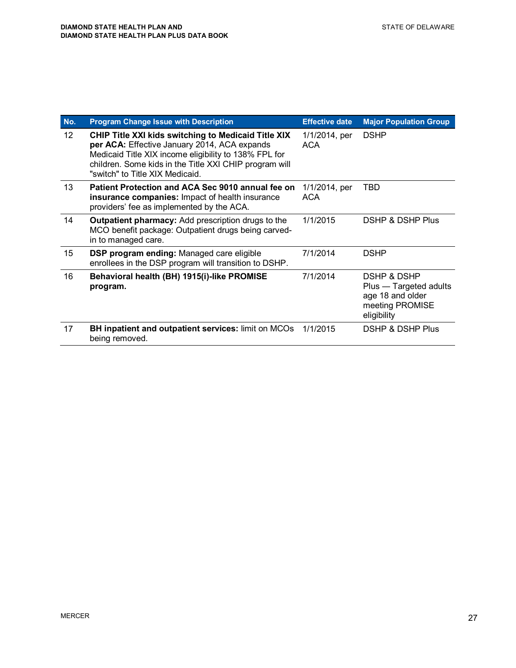| No.               | <b>Program Change Issue with Description</b>                                                                                                                                                                                                              | <b>Effective date</b>       | <b>Major Population Group</b>                                                                          |
|-------------------|-----------------------------------------------------------------------------------------------------------------------------------------------------------------------------------------------------------------------------------------------------------|-----------------------------|--------------------------------------------------------------------------------------------------------|
| $12 \overline{ }$ | CHIP Title XXI kids switching to Medicaid Title XIX<br>per ACA: Effective January 2014, ACA expands<br>Medicaid Title XIX income eligibility to 138% FPL for<br>children. Some kids in the Title XXI CHIP program will<br>"switch" to Title XIX Medicaid. | 1/1/2014, per<br><b>ACA</b> | <b>DSHP</b>                                                                                            |
| 13                | Patient Protection and ACA Sec 9010 annual fee on<br>insurance companies: Impact of health insurance<br>providers' fee as implemented by the ACA.                                                                                                         | 1/1/2014, per<br><b>ACA</b> | TBD                                                                                                    |
| 14                | <b>Outpatient pharmacy:</b> Add prescription drugs to the<br>MCO benefit package: Outpatient drugs being carved-<br>in to managed care.                                                                                                                   | 1/1/2015                    | DSHP & DSHP Plus                                                                                       |
| 15                | <b>DSP program ending: Managed care eligible</b><br>enrollees in the DSP program will transition to DSHP.                                                                                                                                                 | 7/1/2014                    | <b>DSHP</b>                                                                                            |
| 16                | Behavioral health (BH) 1915(i)-like PROMISE<br>program.                                                                                                                                                                                                   | 7/1/2014                    | <b>DSHP &amp; DSHP</b><br>Plus — Targeted adults<br>age 18 and older<br>meeting PROMISE<br>eligibility |
| 17                | <b>BH inpatient and outpatient services: limit on MCOs</b><br>being removed.                                                                                                                                                                              | 1/1/2015                    | DSHP & DSHP Plus                                                                                       |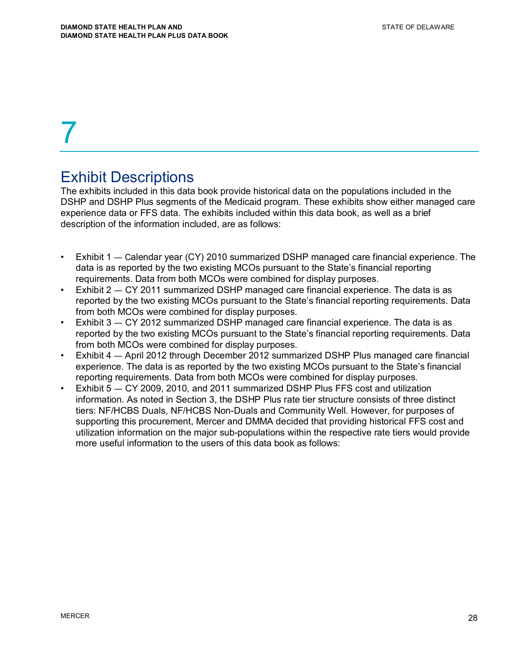### Exhibit Descriptions

The exhibits included in this data book provide historical data on the populations included in the DSHP and DSHP Plus segments of the Medicaid program. These exhibits show either managed care experience data or FFS data. The exhibits included within this data book, as well as a brief description of the information included, are as follows:

- Exhibit  $1$   $-$  Calendar year (CY) 2010 summarized DSHP managed care financial experience. The data is as reported by the two existing MCOs pursuant to the State's financial reporting requirements. Data from both MCOs were combined for display purposes.
- Exhibit  $2 CY$  2011 summarized DSHP managed care financial experience. The data is as reported by the two existing MCOs pursuant to the State's financial reporting requirements. Data from both MCOs were combined for display purposes.
- Exhibit  $3 CY$  2012 summarized DSHP managed care financial experience. The data is as reported by the two existing MCOs pursuant to the State's financial reporting requirements. Data from both MCOs were combined for display purposes.
- Exhibit 4 April 2012 through December 2012 summarized DSHP Plus managed care financial experience. The data is as reported by the two existing MCOs pursuant to the State's financial reporting requirements. Data from both MCOs were combined for display purposes.
- Exhibit  $5 CY$  2009, 2010, and 2011 summarized DSHP Plus FFS cost and utilization information. As noted in Section 3, the DSHP Plus rate tier structure consists of three distinct tiers: NF/HCBS Duals, NF/HCBS Non-Duals and Community Well. However, for purposes of supporting this procurement, Mercer and DMMA decided that providing historical FFS cost and utilization information on the major sub-populations within the respective rate tiers would provide more useful information to the users of this data book as follows: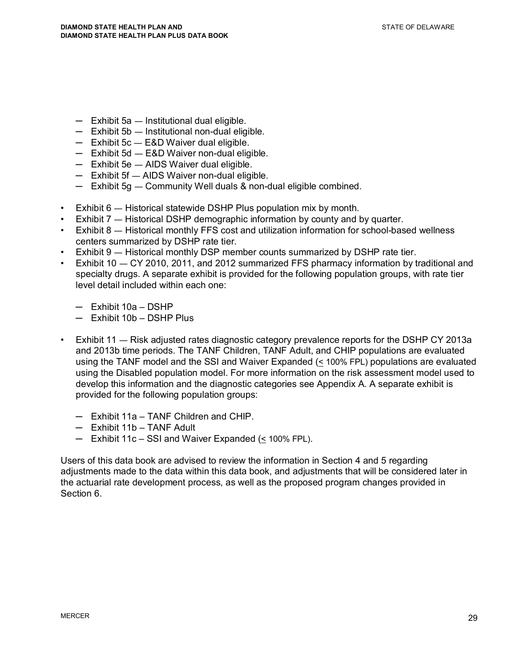- $-$  Exhibit 5a  $-$  Institutional dual eligible.
- $-$  Exhibit 5b  $-$  Institutional non-dual eligible.
- $-$  Exhibit 5c  $-$  E&D Waiver dual eligible.
- $-$  Exhibit 5d  $-$  E&D Waiver non-dual eligible.
- $-$  Exhibit 5e  $-$  AIDS Waiver dual eligible.
- $-$  Exhibit 5f  $-$  AIDS Waiver non-dual eligible.
- $-$  Exhibit 5g  $-$  Community Well duals & non-dual eligible combined.
- $\cdot$  Exhibit 6  $-$  Historical statewide DSHP Plus population mix by month.
- Exhibit  $7 -$  Historical DSHP demographic information by county and by quarter.
- Exhibit 8 Historical monthly FFS cost and utilization information for school-based wellness centers summarized by DSHP rate tier.
- $\cdot$  Exhibit 9  $-$  Historical monthly DSP member counts summarized by DSHP rate tier.
- Exhibit  $10 CY$  2010, 2011, and 2012 summarized FFS pharmacy information by traditional and specialty drugs. A separate exhibit is provided for the following population groups, with rate tier level detail included within each one:
	- ņ Exhibit 10a DSHP
	- $-$  Exhibit 10b DSHP Plus
- Exhibit 11 Risk adjusted rates diagnostic category prevalence reports for the DSHP CY 2013a and 2013b time periods. The TANF Children, TANF Adult, and CHIP populations are evaluated using the TANF model and the SSI and Waiver Expanded  $( \leq 100\%$  FPL) populations are evaluated using the Disabled population model. For more information on the risk assessment model used to develop this information and the diagnostic categories see Appendix A. A separate exhibit is provided for the following population groups:
	- $-$  Exhibit 11a TANF Children and CHIP.
	- $-$  Exhibit 11b TANF Adult
	- Exhibit 11c SSI and Waiver Expanded (< 100% FPL).

Users of this data book are advised to review the information in Section 4 and 5 regarding adjustments made to the data within this data book, and adjustments that will be considered later in the actuarial rate development process, as well as the proposed program changes provided in Section 6.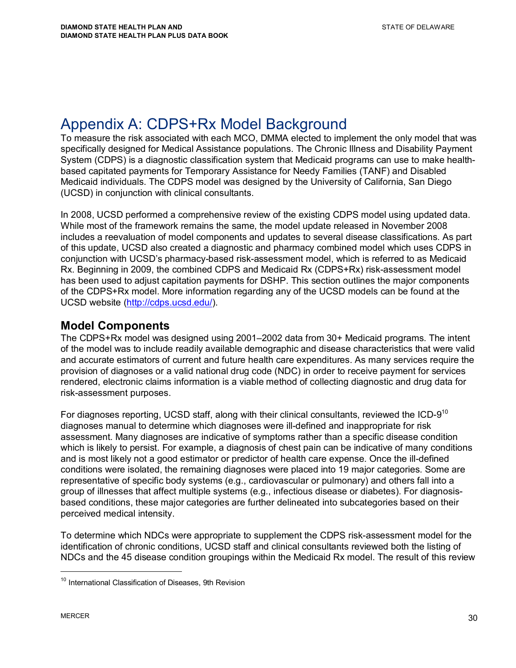## Appendix A: CDPS+Rx Model Background

To measure the risk associated with each MCO, DMMA elected to implement the only model that was specifically designed for Medical Assistance populations. The Chronic Illness and Disability Payment System (CDPS) is a diagnostic classification system that Medicaid programs can use to make healthbased capitated payments for Temporary Assistance for Needy Families (TANF) and Disabled Medicaid individuals. The CDPS model was designed by the University of California, San Diego (UCSD) in conjunction with clinical consultants.

In 2008, UCSD performed a comprehensive review of the existing CDPS model using updated data. While most of the framework remains the same, the model update released in November 2008 includes a reevaluation of model components and updates to several disease classifications. As part of this update, UCSD also created a diagnostic and pharmacy combined model which uses CDPS in conjunction with UCSD's pharmacy-based risk-assessment model, which is referred to as Medicaid Rx. Beginning in 2009, the combined CDPS and Medicaid Rx (CDPS+Rx) risk-assessment model has been used to adjust capitation payments for DSHP. This section outlines the major components of the CDPS+Rx model. More information regarding any of the UCSD models can be found at the UCSD website (http://cdps.ucsd.edu/).

#### **Model Components**

The CDPS+Rx model was designed using 2001–2002 data from 30+ Medicaid programs. The intent of the model was to include readily available demographic and disease characteristics that were valid and accurate estimators of current and future health care expenditures. As many services require the provision of diagnoses or a valid national drug code (NDC) in order to receive payment for services rendered, electronic claims information is a viable method of collecting diagnostic and drug data for risk-assessment purposes.

For diagnoses reporting, UCSD staff, along with their clinical consultants, reviewed the ICD-9<sup>10</sup> diagnoses manual to determine which diagnoses were ill-defined and inappropriate for risk assessment. Many diagnoses are indicative of symptoms rather than a specific disease condition which is likely to persist. For example, a diagnosis of chest pain can be indicative of many conditions and is most likely not a good estimator or predictor of health care expense. Once the ill-defined conditions were isolated, the remaining diagnoses were placed into 19 major categories. Some are representative of specific body systems (e.g., cardiovascular or pulmonary) and others fall into a group of illnesses that affect multiple systems (e.g., infectious disease or diabetes). For diagnosisbased conditions, these major categories are further delineated into subcategories based on their perceived medical intensity.

To determine which NDCs were appropriate to supplement the CDPS risk-assessment model for the identification of chronic conditions, UCSD staff and clinical consultants reviewed both the listing of NDCs and the 45 disease condition groupings within the Medicaid Rx model. The result of this review

<sup>&</sup>lt;sup>10</sup> International Classification of Diseases, 9th Revision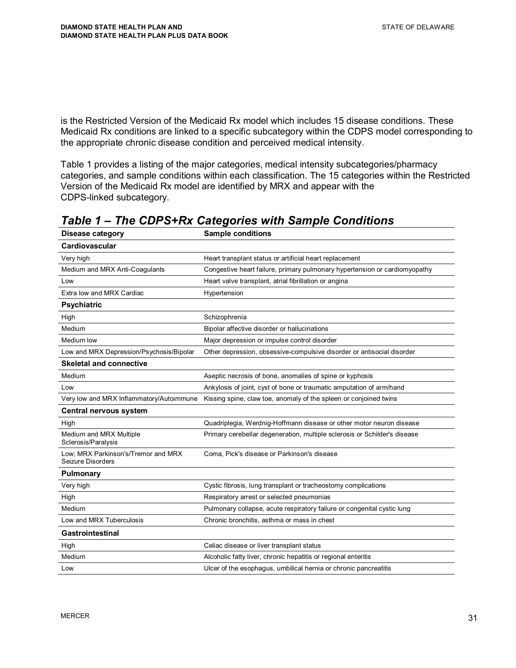is the Restricted Version of the Medicaid Rx model which includes 15 disease conditions. These Medicaid Rx conditions are linked to a specific subcategory within the CDPS model corresponding to the appropriate chronic disease condition and perceived medical intensity.

Table 1 provides a listing of the major categories, medical intensity subcategories/pharmacy categories, and sample conditions within each classification. The 15 categories within the Restricted Version of the Medicaid Rx model are identified by MRX and appear with the CDPS-linked subcategory.

| <b>Disease category</b>                                  | <b>Sample conditions</b>                                                   |  |  |
|----------------------------------------------------------|----------------------------------------------------------------------------|--|--|
| Cardiovascular                                           |                                                                            |  |  |
| Very high                                                | Heart transplant status or artificial heart replacement                    |  |  |
| Medium and MRX Anti-Coagulants                           | Congestive heart failure, primary pulmonary hypertension or cardiomyopathy |  |  |
| Low                                                      | Heart valve transplant, atrial fibrillation or angina                      |  |  |
| Extra low and MRX Cardiac                                | Hypertension                                                               |  |  |
| <b>Psychiatric</b>                                       |                                                                            |  |  |
| High                                                     | Schizophrenia                                                              |  |  |
| Medium                                                   | Bipolar affective disorder or hallucinations                               |  |  |
| Medium low                                               | Major depression or impulse control disorder                               |  |  |
| Low and MRX Depression/Psychosis/Bipolar                 | Other depression, obsessive-compulsive disorder or antisocial disorder     |  |  |
| <b>Skeletal and connective</b>                           |                                                                            |  |  |
| Medium                                                   | Aseptic necrosis of bone, anomalies of spine or kyphosis                   |  |  |
| Low                                                      | Ankylosis of joint, cyst of bone or traumatic amputation of arm/hand       |  |  |
| Very low and MRX Inflammatory/Autoimmune                 | Kissing spine, claw toe, anomaly of the spleen or conjoined twins          |  |  |
| Central nervous system                                   |                                                                            |  |  |
| High                                                     | Quadriplegia, Werdnig-Hoffmann disease or other motor neuron disease       |  |  |
| Medium and MRX Multiple<br>Sclerosis/Paralysis           | Primary cerebellar degeneration, multiple sclerosis or Schilder's disease  |  |  |
| Low; MRX Parkinson's/Tremor and MRX<br>Seizure Disorders | Coma, Pick's disease or Parkinson's disease                                |  |  |
| <b>Pulmonary</b>                                         |                                                                            |  |  |
| Very high                                                | Cystic fibrosis, lung transplant or tracheostomy complications             |  |  |
| High                                                     | Respiratory arrest or selected pneumonias                                  |  |  |
| Medium                                                   | Pulmonary collapse, acute respiratory failure or congenital cystic lung    |  |  |
| Low and MRX Tuberculosis                                 | Chronic bronchitis, asthma or mass in chest                                |  |  |
| <b>Gastrointestinal</b>                                  |                                                                            |  |  |
| High                                                     | Celiac disease or liver transplant status                                  |  |  |
| Medium                                                   | Alcoholic fatty liver, chronic hepatitis or regional enteritis             |  |  |
| Low                                                      | Ulcer of the esophagus, umbilical hernia or chronic pancreatitis           |  |  |

*Table 1 – The CDPS+Rx Categories with Sample Conditions*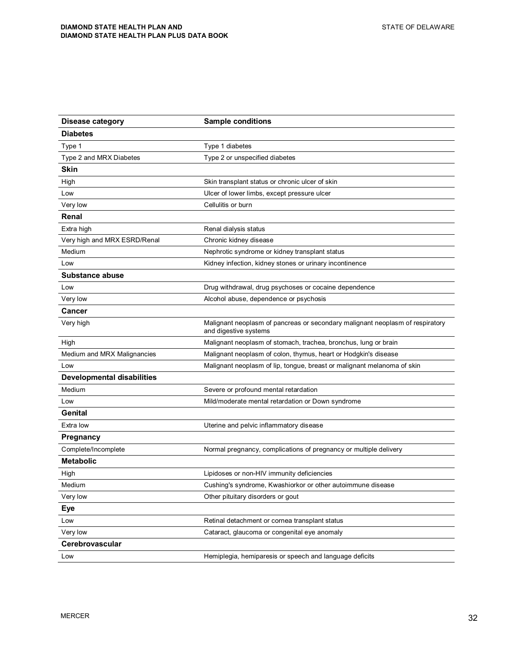| <b>Disease category</b>           | <b>Sample conditions</b>                                                                               |
|-----------------------------------|--------------------------------------------------------------------------------------------------------|
| <b>Diabetes</b>                   |                                                                                                        |
| Type 1                            | Type 1 diabetes                                                                                        |
| Type 2 and MRX Diabetes           | Type 2 or unspecified diabetes                                                                         |
| Skin                              |                                                                                                        |
| High                              | Skin transplant status or chronic ulcer of skin                                                        |
| Low                               | Ulcer of lower limbs, except pressure ulcer                                                            |
| Very low                          | Cellulitis or burn                                                                                     |
| Renal                             |                                                                                                        |
| Extra high                        | Renal dialysis status                                                                                  |
| Very high and MRX ESRD/Renal      | Chronic kidney disease                                                                                 |
| Medium                            | Nephrotic syndrome or kidney transplant status                                                         |
| Low                               | Kidney infection, kidney stones or urinary incontinence                                                |
| <b>Substance abuse</b>            |                                                                                                        |
| Low                               | Drug withdrawal, drug psychoses or cocaine dependence                                                  |
| Very low                          | Alcohol abuse, dependence or psychosis                                                                 |
| Cancer                            |                                                                                                        |
| Very high                         | Malignant neoplasm of pancreas or secondary malignant neoplasm of respiratory<br>and digestive systems |
| High                              | Malignant neoplasm of stomach, trachea, bronchus, lung or brain                                        |
| Medium and MRX Malignancies       | Malignant neoplasm of colon, thymus, heart or Hodgkin's disease                                        |
| Low                               | Malignant neoplasm of lip, tongue, breast or malignant melanoma of skin                                |
| <b>Developmental disabilities</b> |                                                                                                        |
| Medium                            | Severe or profound mental retardation                                                                  |
| Low                               | Mild/moderate mental retardation or Down syndrome                                                      |
| <b>Genital</b>                    |                                                                                                        |
| Extra low                         | Uterine and pelvic inflammatory disease                                                                |
| <b>Pregnancy</b>                  |                                                                                                        |
| Complete/Incomplete               | Normal pregnancy, complications of pregnancy or multiple delivery                                      |
| <b>Metabolic</b>                  |                                                                                                        |
| High                              | Lipidoses or non-HIV immunity deficiencies                                                             |
| Medium                            | Cushing's syndrome, Kwashiorkor or other autoimmune disease                                            |
| Very low                          | Other pituitary disorders or gout                                                                      |
| Eye                               |                                                                                                        |
| Low                               | Retinal detachment or cornea transplant status                                                         |
| Very low                          | Cataract, glaucoma or congenital eye anomaly                                                           |
| Cerebrovascular                   |                                                                                                        |
| Low                               | Hemiplegia, hemiparesis or speech and language deficits                                                |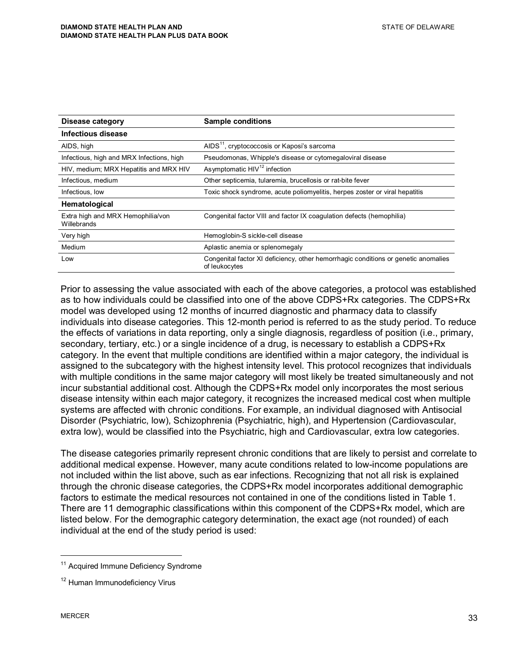| Disease category                                 | <b>Sample conditions</b>                                                                            |  |  |
|--------------------------------------------------|-----------------------------------------------------------------------------------------------------|--|--|
| <b>Infectious disease</b>                        |                                                                                                     |  |  |
| AIDS, high                                       | AIDS <sup>11</sup> , cryptococcosis or Kaposi's sarcoma                                             |  |  |
| Infectious, high and MRX Infections, high        | Pseudomonas, Whipple's disease or cytomegaloviral disease                                           |  |  |
| HIV, medium; MRX Hepatitis and MRX HIV           | Asymptomatic HIV <sup>12</sup> infection                                                            |  |  |
| Infectious, medium                               | Other septicemia, tularemia, brucellosis or rat-bite fever                                          |  |  |
| Infectious, low                                  | Toxic shock syndrome, acute poliomyelitis, herpes zoster or viral hepatitis                         |  |  |
| Hematological                                    |                                                                                                     |  |  |
| Extra high and MRX Hemophilia/von<br>Willebrands | Congenital factor VIII and factor IX coagulation defects (hemophilia)                               |  |  |
| Very high                                        | Hemoglobin-S sickle-cell disease                                                                    |  |  |
| Medium                                           | Aplastic anemia or splenomegaly                                                                     |  |  |
| Low                                              | Congenital factor XI deficiency, other hemorrhagic conditions or genetic anomalies<br>of leukocytes |  |  |

Prior to assessing the value associated with each of the above categories, a protocol was established as to how individuals could be classified into one of the above CDPS+Rx categories. The CDPS+Rx model was developed using 12 months of incurred diagnostic and pharmacy data to classify individuals into disease categories. This 12-month period is referred to as the study period. To reduce the effects of variations in data reporting, only a single diagnosis, regardless of position (i.e., primary, secondary, tertiary, etc.) or a single incidence of a drug, is necessary to establish a CDPS+Rx category. In the event that multiple conditions are identified within a major category, the individual is assigned to the subcategory with the highest intensity level. This protocol recognizes that individuals with multiple conditions in the same major category will most likely be treated simultaneously and not incur substantial additional cost. Although the CDPS+Rx model only incorporates the most serious disease intensity within each major category, it recognizes the increased medical cost when multiple systems are affected with chronic conditions. For example, an individual diagnosed with Antisocial Disorder (Psychiatric, low), Schizophrenia (Psychiatric, high), and Hypertension (Cardiovascular, extra low), would be classified into the Psychiatric, high and Cardiovascular, extra low categories.

The disease categories primarily represent chronic conditions that are likely to persist and correlate to additional medical expense. However, many acute conditions related to low-income populations are not included within the list above, such as ear infections. Recognizing that not all risk is explained through the chronic disease categories, the CDPS+Rx model incorporates additional demographic factors to estimate the medical resources not contained in one of the conditions listed in Table 1. There are 11 demographic classifications within this component of the CDPS+Rx model, which are listed below. For the demographic category determination, the exact age (not rounded) of each individual at the end of the study period is used:

<sup>&</sup>lt;sup>11</sup> Acquired Immune Deficiency Syndrome

<sup>&</sup>lt;sup>12</sup> Human Immunodeficiency Virus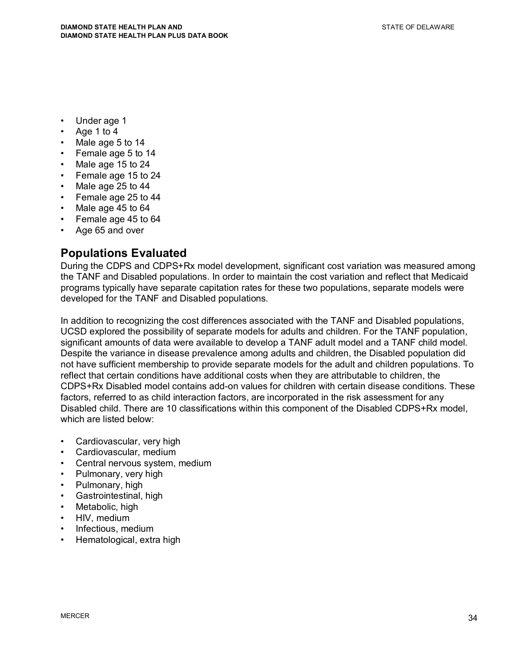- Under age 1
- Age 1 to 4
- Male age 5 to 14
- Female age 5 to 14
- Male age 15 to 24
- Female age 15 to 24
- Male age 25 to 44
- Female age 25 to 44
- Male age 45 to 64
- Female age 45 to 64
- Age 65 and over

#### **Populations Evaluated**

During the CDPS and CDPS+Rx model development, significant cost variation was measured among the TANF and Disabled populations. In order to maintain the cost variation and reflect that Medicaid programs typically have separate capitation rates for these two populations, separate models were developed for the TANF and Disabled populations.

In addition to recognizing the cost differences associated with the TANF and Disabled populations, UCSD explored the possibility of separate models for adults and children. For the TANF population, significant amounts of data were available to develop a TANF adult model and a TANF child model. Despite the variance in disease prevalence among adults and children, the Disabled population did not have sufficient membership to provide separate models for the adult and children populations. To reflect that certain conditions have additional costs when they are attributable to children, the CDPS+Rx Disabled model contains add-on values for children with certain disease conditions. These factors, referred to as child interaction factors, are incorporated in the risk assessment for any Disabled child. There are 10 classifications within this component of the Disabled CDPS+Rx model, which are listed below:

- Cardiovascular, very high
- Cardiovascular, medium
- Central nervous system, medium
- Pulmonary, very high
- Pulmonary, high
- Gastrointestinal, high
- Metabolic, high
- HIV, medium
- Infectious, medium
- Hematological, extra high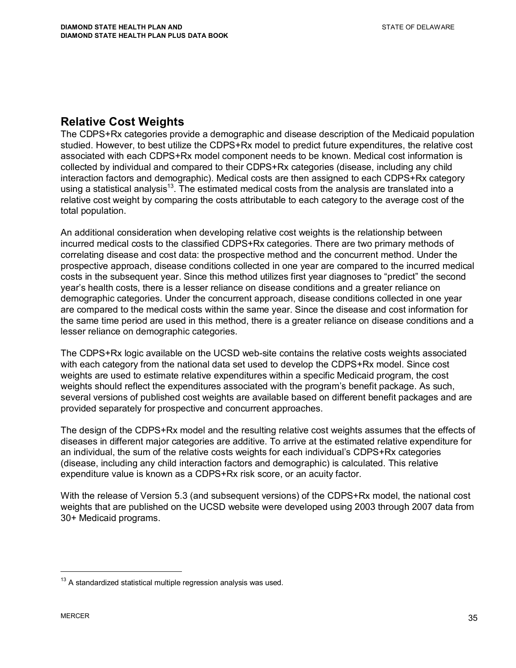#### **Relative Cost Weights**

The CDPS+Rx categories provide a demographic and disease description of the Medicaid population studied. However, to best utilize the CDPS+Rx model to predict future expenditures, the relative cost associated with each CDPS+Rx model component needs to be known. Medical cost information is collected by individual and compared to their CDPS+Rx categories (disease, including any child interaction factors and demographic). Medical costs are then assigned to each CDPS+Rx category using a statistical analysis<sup>13</sup>. The estimated medical costs from the analysis are translated into a relative cost weight by comparing the costs attributable to each category to the average cost of the total population.

An additional consideration when developing relative cost weights is the relationship between incurred medical costs to the classified CDPS+Rx categories. There are two primary methods of correlating disease and cost data: the prospective method and the concurrent method. Under the prospective approach, disease conditions collected in one year are compared to the incurred medical costs in the subsequent year. Since this method utilizes first year diagnoses to "predict" the second year's health costs, there is a lesser reliance on disease conditions and a greater reliance on demographic categories. Under the concurrent approach, disease conditions collected in one year are compared to the medical costs within the same year. Since the disease and cost information for the same time period are used in this method, there is a greater reliance on disease conditions and a lesser reliance on demographic categories.

The CDPS+Rx logic available on the UCSD web-site contains the relative costs weights associated with each category from the national data set used to develop the CDPS+Rx model. Since cost weights are used to estimate relative expenditures within a specific Medicaid program, the cost weights should reflect the expenditures associated with the program's benefit package. As such, several versions of published cost weights are available based on different benefit packages and are provided separately for prospective and concurrent approaches.

The design of the CDPS+Rx model and the resulting relative cost weights assumes that the effects of diseases in different major categories are additive. To arrive at the estimated relative expenditure for an individual, the sum of the relative costs weights for each individual's CDPS+Rx categories (disease, including any child interaction factors and demographic) is calculated. This relative expenditure value is known as a CDPS+Rx risk score, or an acuity factor.

With the release of Version 5.3 (and subsequent versions) of the CDPS+Rx model, the national cost weights that are published on the UCSD website were developed using 2003 through 2007 data from 30+ Medicaid programs.

 $13$  A standardized statistical multiple regression analysis was used.